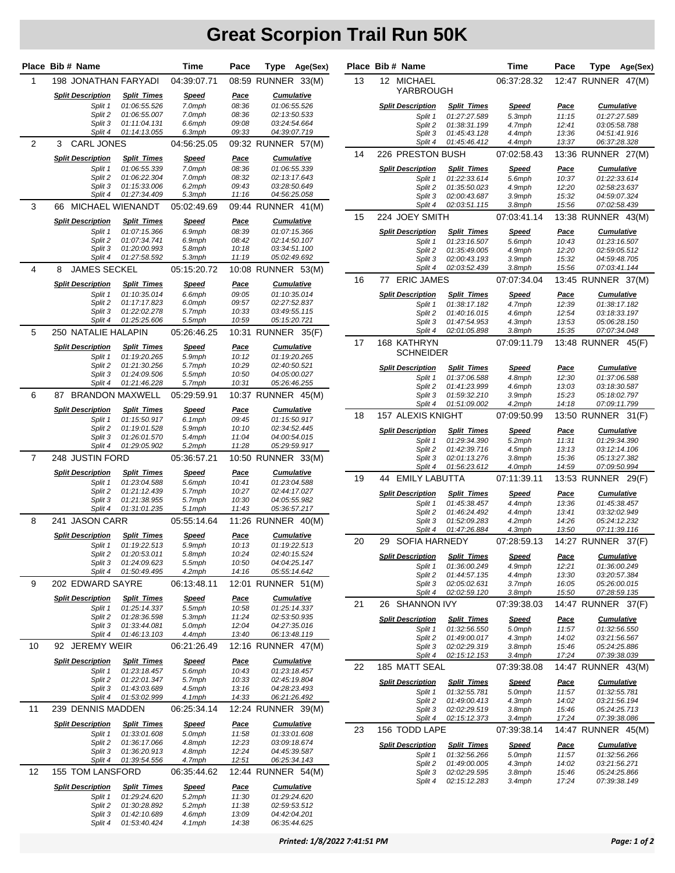|                | Place Bib # Name                    |                                    | Time                   | Pace                 | Type Age(Sex)                      |    | Place Bib # Name             |                              | Time                  | Pace                 | Type<br>Age(Sex)                   |
|----------------|-------------------------------------|------------------------------------|------------------------|----------------------|------------------------------------|----|------------------------------|------------------------------|-----------------------|----------------------|------------------------------------|
| $\mathbf{1}$   | 198 JONATHAN FARYADI                |                                    | 04:39:07.71            |                      | 08:59 RUNNER 33(M)                 | 13 | 12 MICHAEL                   |                              | 06:37:28.32           |                      | 12:47 RUNNER 47(M)                 |
|                | <b>Split Description</b>            | <b>Split Times</b>                 | <u>Speed</u>           | <u>Pace</u>          | <b>Cumulative</b>                  |    | YARBROUGH                    |                              |                       |                      |                                    |
|                | Split 1                             | 01:06:55.526                       | 7.0mph                 | 08:36                | 01:06:55.526                       |    | <b>Split Description</b>     | <b>Split Times</b>           | <u>Speed</u>          | <b>Pace</b>          | <b>Cumulative</b>                  |
|                | Split 2                             | 01:06:55.007                       | 7.0mph                 | 08:36                | 02:13:50.533                       |    | Split 1                      | 01:27:27.589                 | 5.3mph                | 11:15                | 01:27:27.589                       |
|                | Split 3                             | 01:11:04.131                       | 6.6mph                 | 09:08                | 03:24:54.664                       |    | Split 2                      | 01:38:31.199                 | 4.7mph                | 12:41                | 03:05:58.788                       |
|                | Split 4                             | 01:14:13.055                       | 6.3mph                 | 09:33                | 04:39:07.719                       |    | Split 3                      | 01:45:43.128                 | 4.4mph                | 13:36                | 04:51:41.916                       |
| 2              | <b>CARL JONES</b><br>3              |                                    | 04:56:25.05            |                      | 09:32 RUNNER 57(M)                 | 14 | Split 4<br>226 PRESTON BUSH  | 01:45:46.412                 | 4.4mph<br>07:02:58.43 | 13:37                | 06:37:28.328<br>13:36 RUNNER 27(M) |
|                | <b>Split Description</b>            | <b>Split Times</b>                 | <u>Speed</u>           | Pace                 | <b>Cumulative</b>                  |    |                              |                              |                       |                      |                                    |
|                | Split 1<br>Split 2                  | 01:06:55.339<br>01:06:22.304       | 7.0mph<br>7.0mph       | 08:36<br>08:32       | 01:06:55.339<br>02:13:17.643       |    | <b>Split Description</b>     | <b>Split Times</b>           | <u>Speed</u>          | <u>Pace</u>          | <b>Cumulative</b>                  |
|                | Split 3                             | 01:15:33.006                       | 6.2mph                 | 09:43                | 03:28:50.649                       |    | Split 1<br>Split 2           | 01:22:33.614<br>01:35:50.023 | 5.6mph<br>4.9mph      | 10:37<br>12:20       | 01:22:33.614<br>02:58:23.637       |
|                | Split 4                             | 01:27:34.409                       | 5.3mph                 | 11:16                | 04:56:25.058                       |    | Split 3                      | 02:00:43.687                 | 3.9mph                | 15:32                | 04:59:07.324                       |
| 3              | 66 MICHAEL WIENANDT                 |                                    | 05:02:49.69            |                      | 09:44 RUNNER 41(M)                 |    | Split 4                      | 02:03:51.115                 | 3.8mph                | 15:56                | 07:02:58.439                       |
|                | <b>Split Description</b>            | <b>Split Times</b>                 | <u>Speed</u>           | <u>Pace</u>          | <b>Cumulative</b>                  | 15 | 224 JOEY SMITH               |                              | 07:03:41.14           |                      | 13:38 RUNNER 43(M)                 |
|                | Split 1                             | 01:07:15.366                       | 6.9mph                 | 08:39                | 01:07:15.366                       |    | <b>Split Description</b>     | <b>Split Times</b>           | <u>Speed</u>          | <u>Pace</u>          | <b>Cumulative</b>                  |
|                | Split 2                             | 01:07:34.741                       | 6.9mph                 | 08:42                | 02:14:50.107                       |    | Split 1                      | 01:23:16.507                 | 5.6mph                | 10:43                | 01:23:16.507                       |
|                | Split 3<br>Split 4                  | 01:20:00.993<br>01:27:58.592       | 5.8mph<br>5.3mph       | 10:18<br>11:19       | 03:34:51.100<br>05:02:49.692       |    | Split 2                      | 01:35:49.005                 | 4.9mph                | 12:20                | 02:59:05.512                       |
|                | <b>JAMES SECKEL</b>                 |                                    |                        |                      |                                    |    | Split 3<br>Split 4           | 02:00:43.193<br>02:03:52.439 | 3.9mph<br>3.8mph      | 15:32<br>15:56       | 04:59:48.705<br>07:03:41.144       |
| 4              | 8                                   |                                    | 05:15:20.72            |                      | 10:08 RUNNER 53(M)                 | 16 | <b>ERIC JAMES</b><br>77      |                              | 07:07:34.04           |                      | 13:45 RUNNER 37(M)                 |
|                | <b>Split Description</b>            | <b>Split Times</b>                 | <u>Speed</u>           | <u>Pace</u>          | <b>Cumulative</b>                  |    |                              |                              |                       |                      |                                    |
|                | Split 1                             | 01:10:35.014                       | 6.6mph                 | 09:05                | 01:10:35.014                       |    | <b>Split Description</b>     | <b>Split Times</b>           | <u>Speed</u>          | <u>Pace</u>          | <b>Cumulative</b>                  |
|                | Split 2<br>Split 3                  | 01:17:17.823<br>01:22:02.278       | 6.0mph<br>5.7mph       | 09:57<br>10:33       | 02:27:52.837<br>03:49:55.115       |    | Split 1                      | 01:38:17.182                 | 4.7mph                | 12:39                | 01:38:17.182                       |
|                | Split 4                             | 01:25:25.606                       | 5.5mph                 | 10:59                | 05:15:20.721                       |    | Split 2<br>Split 3           | 01:40:16.015<br>01:47:54.953 | 4.6mph<br>4.3mph      | 12:54<br>13:53       | 03:18:33.197<br>05:06:28.150       |
| 5              | 250 NATALIE HALAPIN                 |                                    | 05:26:46.25            |                      | 10:31 RUNNER 35(F)                 |    | Split 4                      | 02:01:05.898                 | 3.8mph                | 15:35                | 07:07:34.048                       |
|                | <b>Split Description</b>            | <b>Split Times</b>                 | <u>Speed</u>           | <u>Pace</u>          | <b>Cumulative</b>                  | 17 | 168 KATHRYN                  |                              | 07:09:11.79           |                      | 13:48 RUNNER 45(F)                 |
|                | Split 1                             | 01:19:20.265                       | 5.9mph                 | 10:12                | 01:19:20.265                       |    | <b>SCHNEIDER</b>             |                              |                       |                      |                                    |
|                | Split 2                             | 01:21:30.256                       | 5.7mph                 | 10:29                | 02:40:50.521                       |    | <b>Split Description</b>     | <b>Split Times</b>           | <u>Speed</u>          | <u>Pace</u>          | <b>Cumulative</b>                  |
|                | Split 3                             | 01:24:09.506                       | 5.5mph                 | 10:50                | 04:05:00.027                       |    | Split 1                      | 01:37:06.588                 | 4.8mph                | 12:30                | 01:37:06.588                       |
|                | Split 4                             | 01:21:46.228                       | 5.7mph                 | 10:31                | 05:26:46.255                       |    | Split 2                      | 01:41:23.999                 | 4.6mph                | 13:03                | 03:18:30.587                       |
| 6              | <b>BRANDON MAXWELL</b><br>87        |                                    | 05:29:59.91            |                      | 10:37 RUNNER 45(M)                 |    | Split 3                      | 01:59:32.210                 | 3.9mph                | 15:23                | 05:18:02.797                       |
|                | <b>Split Description</b>            | <b>Split Times</b>                 | <u>Speed</u>           | <u>Pace</u>          | <b>Cumulative</b>                  | 18 | Split 4<br>157 ALEXIS KNIGHT | 01:51:09.002                 | 4.2mph<br>07:09:50.99 | 14:18                | 07:09:11.799<br>13:50 RUNNER 31(F) |
|                | Split 1<br>Split 2                  | 01:15:50.917<br>01:19:01.528       | 6.1mph<br>5.9mph       | 09:45<br>10:10       | 01:15:50.917<br>02:34:52.445       |    |                              |                              |                       |                      |                                    |
|                | Split 3                             | 01:26:01.570                       | 5.4mph                 | 11:04                | 04:00:54.015                       |    | <b>Split Description</b>     | <b>Split Times</b>           | <u>Speed</u>          | <u>Pace</u>          | <b>Cumulative</b>                  |
|                | Split 4                             | 01:29:05.902                       | 5.2mph                 | 11:28                | 05:29:59.917                       |    | Split 1<br>Split 2           | 01:29:34.390<br>01:42:39.716 | 5.2mph<br>4.5mph      | 11:31<br>13:13       | 01:29:34.390<br>03:12:14.106       |
| $\overline{7}$ | 248 JUSTIN FORD                     |                                    | 05:36:57.21            |                      | 10:50 RUNNER 33(M)                 |    | Split 3                      | 02:01:13.276                 | 3.8mph                | 15:36                | 05:13:27.382                       |
|                |                                     |                                    |                        |                      |                                    |    | Split 4                      | 01:56:23.612                 | 4.0mph                | 14:59                | 07:09:50.994                       |
|                | <b>Split Description</b><br>Split 1 | <b>Split Times</b><br>01:23:04.588 | <u>Speed</u><br>5.6mph | <u>Pace</u><br>10:41 | <b>Cumulative</b><br>01:23:04.588  | 19 | <b>EMILY LABUTTA</b><br>44   |                              | 07:11:39.11           |                      | 13:53 RUNNER 29(F)                 |
|                | Split 2                             | 01:21:12.439                       | 5.7mph                 | 10:27                | 02:44:17.027                       |    | <b>Split Description</b>     | <b>Split Times</b>           | <u>Speed</u>          | <u>Pace</u>          | <b>Cumulative</b>                  |
|                | Split 3                             | 01:21:38.955                       | 5.7mph                 | 10:30                | 04:05:55.982                       |    | Split 1                      | 01:45:38.457                 | 4.4mph                | 13:36                | 01:45:38.457                       |
|                | Split 4                             | 01:31:01.235                       | 5.1mph                 | 11:43                | 05:36:57.217                       |    | Split 2                      | 01:46:24.492                 | 4.4mph                | 13:41                | 03:32:02.949                       |
| 8              | 241 JASON CARR                      |                                    | 05:55:14.64            |                      | 11:26 RUNNER 40(M)                 |    | Split 3<br>Split 4           | 01:52:09.283<br>01:47:26.884 | 4.2mph<br>4.3mph      | 14:26<br>13:50       | 05:24:12.232<br>07:11:39.116       |
|                | <b>Split Description</b>            | <b>Split Times</b>                 | <u>Speed</u>           | <u>Pace</u>          | <b>Cumulative</b>                  | 20 |                              |                              |                       |                      | 14:27 RUNNER 37(F)                 |
|                |                                     | Split 1 01:19:22.513               | 5.9mph                 | 10:13                | 01:19:22.513                       |    | 29 SOFIA HARNEDY             |                              | 07:28:59.13           |                      |                                    |
|                | Split 2<br>Split 3                  | 01:20:53.011<br>01:24:09.623       | 5.8mph<br>5.5mph       | 10:24<br>10:50       | 02:40:15.524<br>04:04:25.147       |    | <b>Split Description</b>     | <b>Split Times</b>           | <b>Speed</b>          | <u>Pace</u>          | <b>Cumulative</b>                  |
|                | Split 4                             | 01:50:49.495                       | 4.2mph                 | 14:16                | 05:55:14.642                       |    | Split 1                      | 01:36:00.249                 | 4.9mph                | 12:21                | 01:36:00.249                       |
| 9              | 202 EDWARD SAYRE                    |                                    | 06:13:48.11            |                      | 12:01 RUNNER 51(M)                 |    | Split 2<br>Split 3           | 01:44:57.135<br>02:05:02.631 | 4.4mph<br>3.7mph      | 13:30<br>16:05       | 03:20:57.384<br>05:26:00.015       |
|                |                                     |                                    |                        |                      |                                    |    | Split 4                      | 02:02:59.120                 | 3.8mph                | 15:50                | 07:28:59.135                       |
|                | <b>Split Description</b><br>Split 1 | <b>Split Times</b><br>01:25:14.337 | <b>Speed</b><br>5.5mph | <u>Pace</u><br>10:58 | <b>Cumulative</b><br>01:25:14.337  | 21 | 26 SHANNON IVY               |                              | 07:39:38.03           |                      | 14:47 RUNNER 37(F)                 |
|                | Split 2                             | 01:28:36.598                       | 5.3mph                 | 11:24                | 02:53:50.935                       |    | <b>Split Description</b>     | <b>Split Times</b>           | <b>Speed</b>          |                      | <b>Cumulative</b>                  |
|                | Split 3                             | 01:33:44.081                       | 5.0mph                 | 12:04                | 04:27:35.016                       |    | Split 1                      | 01:32:56.550                 | 5.0mph                | <u>Pace</u><br>11:57 | 01:32:56.550                       |
|                | Split 4                             | 01:46:13.103                       | 4.4mph                 | 13:40                | 06:13:48.119                       |    | Split 2                      | 01:49:00.017                 | 4.3mph                | 14:02                | 03:21:56.567                       |
| 10             | 92 JEREMY WEIR                      |                                    | 06:21:26.49            |                      | 12:16 RUNNER 47(M)                 |    | Split 3<br>Split 4           | 02:02:29.319<br>02:15:12.153 | $3.8$ mph<br>3.4mph   | 15:46<br>17:24       | 05:24:25.886<br>07:39:38.039       |
|                | <b>Split Description</b>            | <b>Split Times</b>                 | <b>Speed</b>           | <u>Pace</u>          | <b>Cumulative</b>                  | 22 | 185 MATT SEAL                |                              | 07:39:38.08           |                      | 14:47 RUNNER 43(M)                 |
|                | Split 1                             | 01:23:18.457                       | 5.6mph                 | 10:43                | 01:23:18.457                       |    |                              |                              |                       |                      |                                    |
|                | Split 2<br>Split 3                  | 01:22:01.347<br>01:43:03.689       | 5.7mph<br>4.5mph       | 10:33<br>13:16       | 02:45:19.804<br>04:28:23.493       |    | <b>Split Description</b>     | <b>Split Times</b>           | <b>Speed</b>          | <b>Pace</b>          | <b>Cumulative</b>                  |
|                | Split 4                             | 01:53:02.999                       | 4.1mph                 | 14:33                | 06:21:26.492                       |    | Split 1                      | 01:32:55.781                 | 5.0mph                | 11:57                | 01:32:55.781                       |
| 11             | 239 DENNIS MADDEN                   |                                    | 06:25:34.14            |                      | 12:24 RUNNER 39(M)                 |    | Split 2<br>Split 3           | 01:49:00.413<br>02:02:29.519 | 4.3mph<br>$3.8$ mph   | 14:02<br>15:46       | 03:21:56.194<br>05:24:25.713       |
|                | <b>Split Description</b>            | <b>Split Times</b>                 | <b>Speed</b>           | <u>Pace</u>          | <b>Cumulative</b>                  |    | Split 4                      | 02:15:12.373                 | 3.4mph                | 17:24                | 07:39:38.086                       |
|                | Split 1                             | 01:33:01.608                       | 5.0mph                 | 11:58                | 01:33:01.608                       | 23 | 156 TODD LAPE                |                              | 07:39:38.14           |                      | 14:47 RUNNER 45(M)                 |
|                | Split 2                             | 01:36:17.066                       | 4.8mph                 | 12:23                | 03:09:18.674                       |    | <b>Split Description</b>     | <b>Split Times</b>           | <b>Speed</b>          | <u>Pace</u>          | <b>Cumulative</b>                  |
|                | Split 3                             | 01:36:20.913                       | 4.8mph                 | 12:24                | 04:45:39.587                       |    | Split 1                      | 01:32:56.266                 | 5.0mph                | 11:57                | 01:32:56.266                       |
| 12             | Split 4<br>155 TOM LANSFORD         | 01:39:54.556                       | 4.7mph<br>06:35:44.62  | 12:51                | 06:25:34.143<br>12:44 RUNNER 54(M) |    | Split 2                      | 01:49:00.005                 | 4.3mph                | 14:02                | 03:21:56.271                       |
|                |                                     |                                    |                        |                      |                                    |    | Split 3<br>Split 4           | 02:02:29.595<br>02:15:12.283 | 3.8mph<br>$3.4$ mph   | 15:46<br>17:24       | 05:24:25.866<br>07:39:38.149       |
|                | <b>Split Description</b><br>Split 1 | <b>Split Times</b><br>01:29:24.620 | <b>Speed</b><br>5.2mph | <u>Pace</u><br>11:30 | <b>Cumulative</b><br>01:29:24.620  |    |                              |                              |                       |                      |                                    |
|                | Split 2                             | 01:30:28.892                       | 5.2mph                 | 11:38                | 02:59:53.512                       |    |                              |                              |                       |                      |                                    |
|                | Split 3                             | 01:42:10.689                       | 4.6mph                 | 13:09                | 04:42:04.201                       |    |                              |                              |                       |                      |                                    |
|                | Split 4                             | 01:53:40.424                       | 4.1mph                 | 14:38                | 06:35:44.625                       |    |                              |                              |                       |                      |                                    |

| Place | Bib#<br><b>Name</b>        |                              | Time                | Pace           | Type<br>Age(Sex)             |       |  |  |
|-------|----------------------------|------------------------------|---------------------|----------------|------------------------------|-------|--|--|
| 13    | 12<br>MICHAEL              |                              | 06:37:28.32         |                | 12:47 RUNNER                 | 47(M) |  |  |
|       | YARBROUGH                  |                              |                     |                |                              |       |  |  |
|       |                            |                              |                     |                |                              |       |  |  |
|       | <b>Split Description</b>   | <b>Split Times</b>           | <b>Speed</b>        | <u>Pace</u>    | <b>Cumulative</b>            |       |  |  |
|       | Split 1                    | 01:27:27.589                 | 5.3mph              | 11:15          | 01:27:27.589                 |       |  |  |
|       | Split 2                    | 01:38:31.199                 | 4.7mph              | 12:41          | 03:05:58.788<br>04:51:41.916 |       |  |  |
|       | Split 3<br>Split 4         | 01:45:43.128<br>01:45:46.412 | 4.4mph<br>4.4mph    | 13:36<br>13:37 | 06:37:28.328                 |       |  |  |
|       |                            |                              |                     |                |                              |       |  |  |
| 14    | 226 PRESTON BUSH           |                              | 07:02:58.43         |                | 13:36 RUNNER                 | 27(M) |  |  |
|       | <b>Split Description</b>   | <b>Split Times</b>           | <b>Speed</b>        | <u>Pace</u>    | <b>Cumulative</b>            |       |  |  |
|       | Split 1                    | 01:22:33.614                 | 5.6mph              | 10:37          | 01:22:33.614                 |       |  |  |
|       | Split 2                    | 01:35:50.023                 | 4.9mph              | 12:20          | 02:58:23.637                 |       |  |  |
|       | Split 3                    | 02:00:43.687                 | 3.9mph              | 15:32          | 04:59:07.324                 |       |  |  |
|       | Split 4                    | 02:03:51.115                 | 3.8mph              | 15:56          | 07:02:58.439                 |       |  |  |
| 15    | 224 JOEY SMITH             |                              | 07:03:41.14         | 13:38          | <b>RUNNER</b>                | 43(M) |  |  |
|       | <b>Split Description</b>   | <b>Split Times</b>           | <u>Speed</u>        | Pace           | <b>Cumulative</b>            |       |  |  |
|       | Split 1                    | 01:23:16.507                 | 5.6mph              | 10:43          | 01:23:16.507                 |       |  |  |
|       | Split 2                    | 01:35:49.005                 | 4.9mph              | 12:20          | 02:59:05.512                 |       |  |  |
|       | Split 3                    | 02:00:43.193                 | 3.9mph              | 15:32          | 04:59:48.705                 |       |  |  |
|       | Split 4                    | 02:03:52.439                 | 3.8mph              | 15:56          | 07:03:41.144                 |       |  |  |
| 16    | <b>ERIC JAMES</b><br>77    |                              | 07:07:34.04         |                | 13:45 RUNNER                 | 37(M) |  |  |
|       | <b>Split Description</b>   | <b>Split Times</b>           | <b>Speed</b>        | <b>Pace</b>    | <b>Cumulative</b>            |       |  |  |
|       | Split 1                    | 01:38:17.182                 | 4.7mph              | 12:39          | 01:38:17.182                 |       |  |  |
|       | Split 2                    | 01:40:16.015                 | 4.6mph              | 12:54          | 03:18:33.197                 |       |  |  |
|       | Split 3                    | 01:47:54.953                 | 4.3mph              | 13:53          | 05:06:28.150                 |       |  |  |
|       | Split 4                    | 02:01:05.898                 | 3.8mph              | 15:35          | 07:07:34.048                 |       |  |  |
| 17    | 168 KATHRYN                |                              | 07:09:11.79         |                | 13:48 RUNNER                 | 45(F) |  |  |
|       | <b>SCHNEIDER</b>           |                              |                     |                |                              |       |  |  |
|       | <b>Split Description</b>   | <b>Split Times</b>           | <b>Speed</b>        | Pace           | <b>Cumulative</b>            |       |  |  |
|       | Split 1                    | 01:37:06.588                 | 4.8mph              | 12:30          | 01:37:06.588                 |       |  |  |
|       | Split 2                    | 01:41:23.999                 | 4.6mph              | 13:03          | 03:18:30.587                 |       |  |  |
|       | Split 3                    | 01:59:32.210                 | 3.9mph              | 15:23          | 05:18:02.797                 |       |  |  |
|       | Split 4                    | 01:51:09.002                 | 4.2mph              | 14:18          | 07:09:11.799                 |       |  |  |
| 18    | 157 ALEXIS KNIGHT          |                              | 07:09:50.99         | 13:50          | <b>RUNNER</b>                | 31(F) |  |  |
|       | <b>Split Description</b>   | <b>Split Times</b>           | <b>Speed</b>        | <u>Pace</u>    | <b>Cumulative</b>            |       |  |  |
|       | Split 1                    | 01:29:34.390                 | 5.2mph              | 11:31          | 01:29:34.390                 |       |  |  |
|       | Split 2                    | 01:42:39.716                 | 4.5mph              | 13:13          | 03:12:14.106                 |       |  |  |
|       | Split 3                    | 02:01:13.276                 | 3.8mph              | 15:36          | 05:13:27.382                 |       |  |  |
|       | Split 4                    | 01:56:23.612                 | 4.0mph              | 14:59          | 07:09:50.994                 |       |  |  |
| 19    | 44<br><b>EMILY LABUTTA</b> |                              | 07:11:39.11         |                | 13:53 RUNNER                 | 29(F) |  |  |
|       | <b>Split Description</b>   | <b>Split Times</b>           | <b>Speed</b>        | Pace           | <b>Cumulative</b>            |       |  |  |
|       | Split 1                    | 01:45:38.457                 | 4.4mph              | 13:36          | 01:45:38.457                 |       |  |  |
|       | Split 2                    | 01:46:24.492                 | 4.4mph              | 13:41          | 03:32:02.949                 |       |  |  |
|       | Split 3                    | 01:52:09.283                 | 4.2mph              | 14:26          | 05:24:12.232                 |       |  |  |
|       | Split 4                    | 01:47:26.884                 | 4.3mph              | 13:50          | 07:11:39.116                 |       |  |  |
| 20    | SOFIA HARNEDY<br>29        |                              | 07:28:59.13         |                | 14:27 RUNNER                 | 37(F) |  |  |
|       | <b>Split Description</b>   | <b>Split Times</b>           | <b>Speed</b>        | <u>Pace</u>    | <u>Cumulative</u>            |       |  |  |
|       | Split 1                    | 01:36:00.249                 | 4.9mph              | 12:21          | 01:36:00.249                 |       |  |  |
|       | Split 2                    | 01:44:57.135                 | 4.4mph              | 13:30          | 03:20:57.384                 |       |  |  |
|       | Split 3                    | 02:05:02.631                 | 3.7mph              | 16:05          | 05:26:00.015                 |       |  |  |
|       | Split 4                    | 02:02:59.120                 | 3.8mph              | 15:50          | 07:28:59.135                 |       |  |  |
| 21    | <b>SHANNON IVY</b><br>26   |                              | 07:39:38.03         |                | 14:47 RUNNER                 | 37(F) |  |  |
|       | <b>Split Description</b>   | <b>Split Times</b>           | <b>Speed</b>        | Pace           | <b>Cumulative</b>            |       |  |  |
|       | Split 1                    | 01:32:56.550                 | 5.0mph              | 11:57          | 01:32:56.550                 |       |  |  |
|       | Split 2                    | 01:49:00.017                 | 4.3mph              | 14:02          | 03:21:56.567                 |       |  |  |
|       | Split 3<br>Split 4         | 02:02:29.319<br>02:15:12.153 | $3.8$ mph<br>3.4mph | 15:46<br>17:24 | 05:24:25.886<br>07:39:38.039 |       |  |  |
|       | 185 MATT SEAL              |                              |                     |                |                              |       |  |  |
| 22    |                            |                              | 07:39:38.08         |                | 14:47 RUNNER                 | 43(M) |  |  |
|       | <b>Split Description</b>   | <b>Split Times</b>           | <b>Speed</b>        | <u>Pace</u>    | <b>Cumulative</b>            |       |  |  |
|       | Split 1                    | 01:32:55.781                 | 5.0mph              | 11:57          | 01:32:55.781                 |       |  |  |
|       | Split 2<br>Split 3         | 01:49:00.413<br>02:02:29.519 | 4.3mph<br>$3.8$ mph | 14:02<br>15:46 | 03:21:56.194<br>05:24:25.713 |       |  |  |
|       | Split 4                    | 02:15:12.373                 | 3.4mph              | 17:24          | 07:39:38.086                 |       |  |  |
| 23    | 156  TODD LAPE             |                              | 07:39:38.14         |                | 14:47 RUNNER                 | 45(M) |  |  |
|       |                            |                              |                     |                |                              |       |  |  |
|       | <b>Split Description</b>   | <b>Split Times</b>           | <b>Speed</b>        | <u>Pace</u>    | <b>Cumulative</b>            |       |  |  |
|       | Split 1                    | 01:32:56.266                 | 5.0mph              | 11:57          | 01:32:56.266                 |       |  |  |
|       | Split 2<br>Split 3         | 01:49:00.005<br>02:02:29.595 | 4.3mph<br>$3.8$ mph | 14:02<br>15:46 | 03:21:56.271<br>05:24:25.866 |       |  |  |
|       | Split 4                    | 02:15:12.283                 | 3.4mph              | 17:24          | 07:39:38.149                 |       |  |  |
|       |                            |                              |                     |                |                              |       |  |  |
|       |                            |                              |                     |                |                              |       |  |  |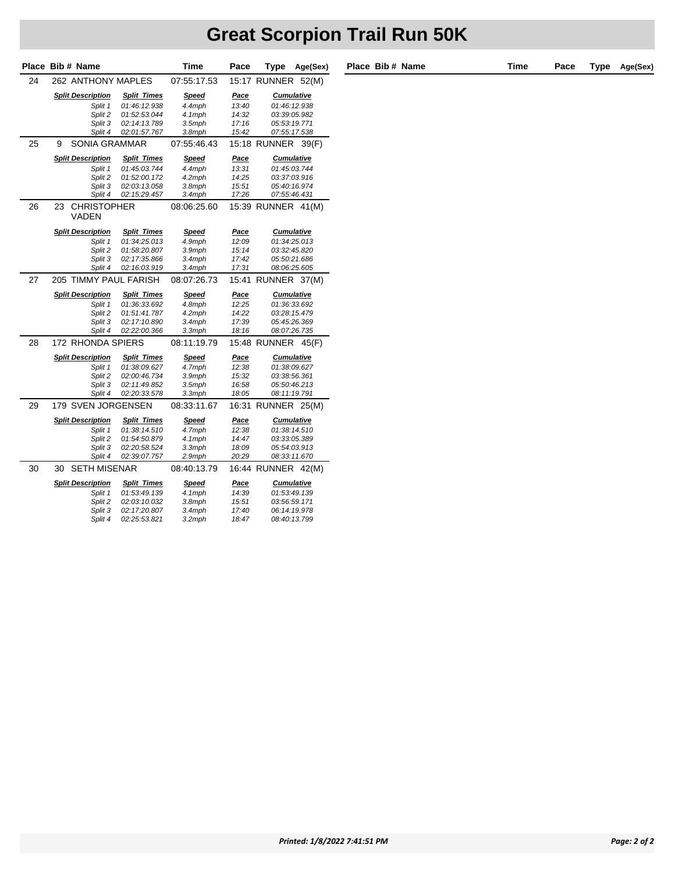|    | Place Bib # Name                  |                    | Time         | Pace        | <b>Type</b>         | Age(Sex) |
|----|-----------------------------------|--------------------|--------------|-------------|---------------------|----------|
| 24 | 262 ANTHONY MAPLES                |                    | 07:55:17.53  |             | 15:17 RUNNER        | 52(M)    |
|    | <b>Split Description</b>          | <b>Split Times</b> | <b>Speed</b> | <u>Pace</u> | <b>Cumulative</b>   |          |
|    | Split 1                           | 01:46:12.938       | 4.4mph       | 13:40       | 01:46:12.938        |          |
|    | Split 2                           | 01:52:53.044       | 4.1mph       | 14:32       | 03:39:05.982        |          |
|    | Split 3                           | 02:14:13.789       | $3.5$ mph    | 17:16       | 05:53:19.771        |          |
|    | Split 4                           | 02:01:57.767       | 3.8mph       | 15:42       | 07:55:17.538        |          |
| 25 | SONIA GRAMMAR<br>9                |                    | 07:55:46.43  |             | 15:18 RUNNER        | 39(F)    |
|    | <b>Split Description</b>          | <b>Split Times</b> | <b>Speed</b> | <u>Pace</u> | <b>Cumulative</b>   |          |
|    | Split 1                           | 01:45:03.744       | 4.4mph       | 13:31       | 01:45:03.744        |          |
|    | Split 2                           | 01:52:00.172       | 4.2mph       | 14:25       | 03:37:03.916        |          |
|    | Split 3                           | 02:03:13.058       | 3.8mph       | 15:51       | 05:40:16.974        |          |
|    | Split 4                           | 02:15:29.457       | 3.4mph       | 17:26       | 07:55:46.431        |          |
| 26 | 23<br><b>CHRISTOPHER</b><br>VADEN |                    | 08:06:25.60  |             | 15:39 RUNNER        | 41(M)    |
|    | <b>Split Description</b>          | <b>Split Times</b> | <b>Speed</b> | <u>Pace</u> | <b>Cumulative</b>   |          |
|    | Split 1                           | 01:34:25.013       | 4.9mph       | 12:09       | 01:34:25.013        |          |
|    | Split 2                           | 01:58:20.807       | 3.9mph       | 15:14       | 03:32:45.820        |          |
|    | Split 3                           | 02:17:35.866       | 3.4mph       | 17:42       | 05:50:21.686        |          |
|    | Split 4                           | 02:16:03.919       | 3.4mph       | 17:31       | 08:06:25.605        |          |
| 27 | 205 TIMMY PAUL FARISH             |                    | 08:07:26.73  | 15:41       | <b>RUNNER</b>       | 37(M)    |
|    | <b>Split Description</b>          | <b>Split Times</b> | <b>Speed</b> | Pace        | <b>Cumulative</b>   |          |
|    | Split 1                           | 01:36:33.692       | 4.8mph       | 12:25       | 01:36:33.692        |          |
|    | Split 2                           | 01:51:41.787       | 4.2mph       | 14:22       | 03:28:15.479        |          |
|    | Split 3                           | 02:17:10.890       | $3.4$ mph    | 17:39       | 05:45:26.369        |          |
|    | Split 4                           | 02:22:00.366       | 3.3mph       | 18:16       | 08:07:26.735        |          |
| 28 | 172 RHONDA SPIERS                 |                    | 08:11:19.79  |             | <b>15:48 RUNNER</b> | 45(F)    |
|    | <b>Split Description</b>          | <b>Split Times</b> | <b>Speed</b> | Pace        | <b>Cumulative</b>   |          |
|    | Split 1                           | 01:38:09.627       | 4.7mph       | 12:38       | 01:38:09.627        |          |
|    | Split 2                           | 02:00:46.734       | 3.9mph       | 15:32       | 03:38:56.361        |          |
|    | Split 3                           | 02:11:49.852       | 3.5mph       | 16:58       | 05:50:46.213        |          |
|    | Split 4                           | 02:20:33.578       | 3.3mph       | 18:05       | 08:11:19.791        |          |
| 29 | 179 SVEN JORGENSEN                |                    | 08:33:11.67  | 16:31       | <b>RUNNER</b>       | 25(M)    |
|    | <b>Split Description</b>          | <b>Split Times</b> | <b>Speed</b> | <u>Pace</u> | <b>Cumulative</b>   |          |
|    | Split 1                           | 01:38:14.510       | 4.7mph       | 12:38       | 01:38:14.510        |          |
|    | Split 2                           | 01:54:50.879       | 4.1mph       | 14:47       | 03:33:05.389        |          |
|    | Split 3                           | 02:20:58.524       | $3.3$ mph    | 18:09       | 05:54:03.913        |          |
|    | Split 4                           | 02:39:07.757       | 2.9mph       | 20:29       | 08:33:11.670        |          |
| 30 | <b>SETH MISENAR</b><br>30         |                    | 08:40:13.79  |             | 16:44 RUNNER        | 42(M)    |
|    | <b>Split Description</b>          | <b>Split Times</b> | <b>Speed</b> | <b>Pace</b> | <b>Cumulative</b>   |          |
|    | Split 1                           | 01:53:49.139       | 4.1mph       | 14:39       | 01:53:49.139        |          |
|    | Split 2                           | 02:03:10.032       | 3.8mph       | 15:51       | 03:56:59.171        |          |
|    | Split 3                           | 02:17:20.807       | 3.4mph       | 17:40       | 06:14:19.978        |          |
|    | Split 4                           | 02:25:53.821       | 3.2mph       | 18:47       | 08:40:13.799        |          |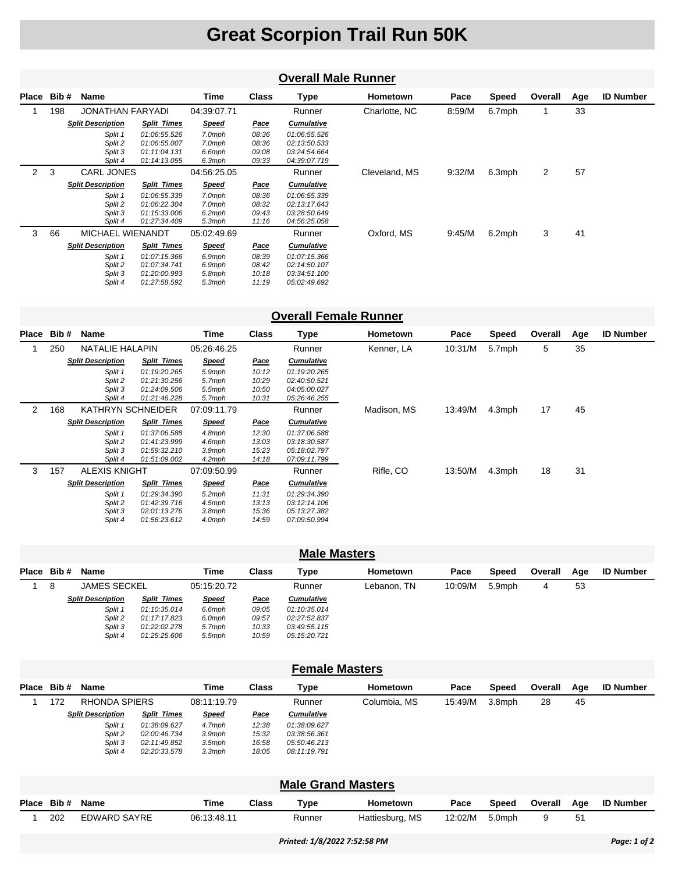|                | <b>Overall Male Runner</b> |                                          |                                                              |                                      |                                  |                                                              |               |        |        |         |     |                  |  |
|----------------|----------------------------|------------------------------------------|--------------------------------------------------------------|--------------------------------------|----------------------------------|--------------------------------------------------------------|---------------|--------|--------|---------|-----|------------------|--|
| Place          | Bib#                       | Name                                     |                                                              | Time                                 | <b>Class</b>                     | <b>Type</b>                                                  | Hometown      | Pace   | Speed  | Overall | Age | <b>ID Number</b> |  |
|                | 198                        | JONATHAN FARYADI                         |                                                              | 04:39:07.71                          |                                  | Runner                                                       | Charlotte, NC | 8:59/M | 6.7mph |         | 33  |                  |  |
|                |                            | <b>Split Description</b>                 | <b>Split Times</b>                                           | <b>Speed</b>                         | <u>Pace</u>                      | <b>Cumulative</b>                                            |               |        |        |         |     |                  |  |
|                |                            | Split 1<br>Split 2<br>Split 3<br>Split 4 | 01:06:55.526<br>01:06:55.007<br>01:11:04.131<br>01:14:13.055 | 7.0mph<br>7.0mph<br>6.6mph<br>6.3mph | 08:36<br>08:36<br>09:08<br>09:33 | 01:06:55.526<br>02:13:50.533<br>03:24:54.664<br>04:39:07.719 |               |        |        |         |     |                  |  |
| $\overline{2}$ | 3                          | <b>CARL JONES</b>                        |                                                              | 04:56:25.05                          |                                  | Runner                                                       | Cleveland, MS | 9:32/M | 6.3mph | 2       | 57  |                  |  |
|                |                            | <b>Split Description</b>                 | <b>Split Times</b>                                           | <b>Speed</b>                         | <u>Pace</u>                      | <b>Cumulative</b>                                            |               |        |        |         |     |                  |  |
|                |                            | Split 1<br>Split 2<br>Split 3<br>Split 4 | 01:06:55.339<br>01:06:22.304<br>01:15:33.006<br>01:27:34.409 | 7.0mph<br>7.0mph<br>6.2mph<br>5.3mph | 08:36<br>08:32<br>09:43<br>11:16 | 01:06:55.339<br>02:13:17.643<br>03:28:50.649<br>04:56:25.058 |               |        |        |         |     |                  |  |
| 3              | 66                         | MICHAEL WIENANDT                         |                                                              | 05:02:49.69                          |                                  | Runner                                                       | Oxford, MS    | 9:45/M | 6.2mph | 3       | 41  |                  |  |
|                |                            | <b>Split Description</b>                 | <b>Split Times</b>                                           | <b>Speed</b>                         | <u>Pace</u>                      | <b>Cumulative</b>                                            |               |        |        |         |     |                  |  |
|                |                            | Split 1<br>Split 2<br>Split 3<br>Split 4 | 01:07:15.366<br>01:07:34.741<br>01:20:00.993<br>01:27:58.592 | 6.9mph<br>6.9mph<br>5.8mph<br>5.3mph | 08:39<br>08:42<br>10:18<br>11:19 | 01:07:15.366<br>02:14:50.107<br>03:34:51.100<br>05:02:49.692 |               |        |        |         |     |                  |  |

#### **Overall Female Runner**

| Place | Bib# | Name                     |                    | Time         | <b>Class</b> | Type              | <b>Hometown</b> | Pace    | <b>Speed</b> | Overall | Age | <b>ID Number</b> |
|-------|------|--------------------------|--------------------|--------------|--------------|-------------------|-----------------|---------|--------------|---------|-----|------------------|
|       | 250  | <b>NATALIE HALAPIN</b>   |                    | 05:26:46.25  |              | Runner            | Kenner, LA      | 10:31/M | 5.7mph       | 5       | 35  |                  |
|       |      | <b>Split Description</b> | <b>Split Times</b> | <b>Speed</b> | <u>Pace</u>  | <b>Cumulative</b> |                 |         |              |         |     |                  |
|       |      | Split 1                  | 01:19:20.265       | 5.9mph       | 10:12        | 01:19:20.265      |                 |         |              |         |     |                  |
|       |      | Split 2                  | 01:21:30.256       | 5.7mph       | 10:29        | 02:40:50.521      |                 |         |              |         |     |                  |
|       |      | Split 3                  | 01:24:09.506       | 5.5mph       | 10:50        | 04:05:00.027      |                 |         |              |         |     |                  |
|       |      | Split 4                  | 01:21:46.228       | 5.7mph       | 10:31        | 05:26:46.255      |                 |         |              |         |     |                  |
| 2     | 168  | <b>KATHRYN SCHNEIDER</b> |                    | 07:09:11.79  |              | Runner            | Madison, MS     | 13:49/M | 4.3mph       | 17      | 45  |                  |
|       |      | <b>Split Description</b> | <b>Split Times</b> | <b>Speed</b> | <u>Pace</u>  | <b>Cumulative</b> |                 |         |              |         |     |                  |
|       |      | Split 1                  | 01:37:06.588       | 4.8mph       | 12:30        | 01:37:06.588      |                 |         |              |         |     |                  |
|       |      | Split 2                  | 01:41:23.999       | 4.6mph       | 13:03        | 03:18:30.587      |                 |         |              |         |     |                  |
|       |      | Split 3                  | 01:59:32.210       | 3.9mph       | 15:23        | 05:18:02.797      |                 |         |              |         |     |                  |
|       |      | Split 4                  | 01:51:09.002       | 4.2mph       | 14:18        | 07:09:11.799      |                 |         |              |         |     |                  |
| 3     | 157  | <b>ALEXIS KNIGHT</b>     |                    | 07:09:50.99  |              | Runner            | Rifle, CO       | 13:50/M | 4.3mph       | 18      | 31  |                  |
|       |      | <b>Split Description</b> | <b>Split Times</b> | <u>Speed</u> | <u>Pace</u>  | <b>Cumulative</b> |                 |         |              |         |     |                  |
|       |      | Split 1                  | 01:29:34.390       | $5.2$ mph    | 11:31        | 01:29:34.390      |                 |         |              |         |     |                  |
|       |      | Split 2                  | 01:42:39.716       | 4.5mph       | 13:13        | 03:12:14.106      |                 |         |              |         |     |                  |
|       |      | Split 3                  | 02:01:13.276       | 3.8mph       | 15:36        | 05:13:27.382      |                 |         |              |         |     |                  |
|       |      | Split 4                  | 01:56:23.612       | 4.0mph       | 14:59        | 07:09:50.994      |                 |         |              |         |     |                  |

| <b>Male Masters</b> |   |                          |                    |              |             |                   |                 |         |        |         |     |                  |
|---------------------|---|--------------------------|--------------------|--------------|-------------|-------------------|-----------------|---------|--------|---------|-----|------------------|
| Place Bib#          |   | Name                     |                    | Time         | Class       | Type              | <b>Hometown</b> | Pace    | Speed  | Overall | Age | <b>ID Number</b> |
|                     | 8 | <b>JAMES SECKEL</b>      |                    | 05:15:20.72  |             | Runner            | Lebanon, TN     | 10:09/M | 5.9mph | 4       | 53  |                  |
|                     |   | <b>Split Description</b> | <b>Split Times</b> | <b>Speed</b> | <u>Pace</u> | <b>Cumulative</b> |                 |         |        |         |     |                  |
|                     |   | Split 1                  | 01:10:35.014       | 6.6mph       | 09:05       | 01:10:35.014      |                 |         |        |         |     |                  |
|                     |   | Split 2                  | 01:17:17.823       | 6.0mph       | 09:57       | 02:27:52.837      |                 |         |        |         |     |                  |
|                     |   | Split 3                  | 01:22:02.278       | 5.7mph       | 10:33       | 03:49:55.115      |                 |         |        |         |     |                  |
|                     |   | Split 4                  | 01:25:25.606       | $5.5$ mph    | 10:59       | 05:15:20.721      |                 |         |        |         |     |                  |

| <b>Female Masters</b> |            |                          |                    |              |             |                   |              |         |        |         |     |                  |
|-----------------------|------------|--------------------------|--------------------|--------------|-------------|-------------------|--------------|---------|--------|---------|-----|------------------|
|                       | Place Bib# | Name                     |                    | Time         | Class       | Type              | Hometown     | Pace    | Speed  | Overall | Age | <b>ID Number</b> |
|                       | 172        | <b>RHONDA SPIERS</b>     |                    | 08:11:19.79  |             | Runner            | Columbia, MS | 15:49/M | 3.8mph | 28      | 45  |                  |
|                       |            | <b>Split Description</b> | <b>Split Times</b> | <b>Speed</b> | <u>Pace</u> | <b>Cumulative</b> |              |         |        |         |     |                  |
|                       |            | Split 1                  | 01:38:09.627       | 4.7mph       | 12:38       | 01:38:09.627      |              |         |        |         |     |                  |
|                       |            | Split 2                  | 02:00:46.734       | $3.9$ mph    | 15:32       | 03:38:56.361      |              |         |        |         |     |                  |
|                       |            | Split 3                  | 02:11:49.852       | $3.5$ mph    | 16:58       | 05:50:46.213      |              |         |        |         |     |                  |
|                       |            | Split 4                  | 02:20:33.578       | $3.3$ mph    | 18:05       | 08:11:19.791      |              |         |        |         |     |                  |

#### **Male Grand Masters**

| Place Bib# Name |              | Time        | Class | Tvpe   | Hometown        | Pace    | Speed  | Overall | Age | <b>ID Number</b> |
|-----------------|--------------|-------------|-------|--------|-----------------|---------|--------|---------|-----|------------------|
| 202             | EDWARD SAYRE | 06:13:48.11 |       | Runner | Hattiesburg, MS | 12:02/M | 5.0mph |         |     |                  |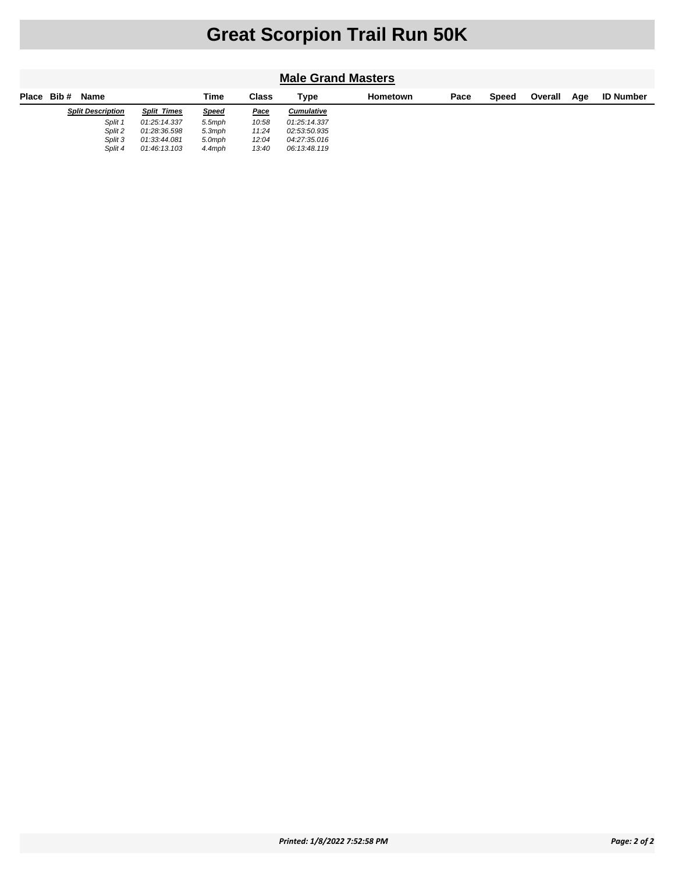| <b>Male Grand Masters</b> |                          |                    |              |             |                   |                 |      |       |         |     |                  |
|---------------------------|--------------------------|--------------------|--------------|-------------|-------------------|-----------------|------|-------|---------|-----|------------------|
| Place                     | Bib #<br><b>Name</b>     |                    | Time         | Class       | Type              | <b>Hometown</b> | Pace | Speed | Overall | Age | <b>ID Number</b> |
|                           | <b>Split Description</b> | <b>Split Times</b> | <b>Speed</b> | <u>Pace</u> | <b>Cumulative</b> |                 |      |       |         |     |                  |
|                           | Split 1                  | 01:25:14.337       | 5.5mph       | 10:58       | 01:25:14.337      |                 |      |       |         |     |                  |
|                           | Split 2                  | 01:28:36.598       | $5.3$ mph    | 11:24       | 02:53:50.935      |                 |      |       |         |     |                  |
|                           | Split 3                  | 01:33:44.081       | 5.0mph       | 12:04       | 04:27:35.016      |                 |      |       |         |     |                  |
|                           | Split 4                  | 01:46:13.103       | 4.4mph       | 13:40       | 06:13:48.119      |                 |      |       |         |     |                  |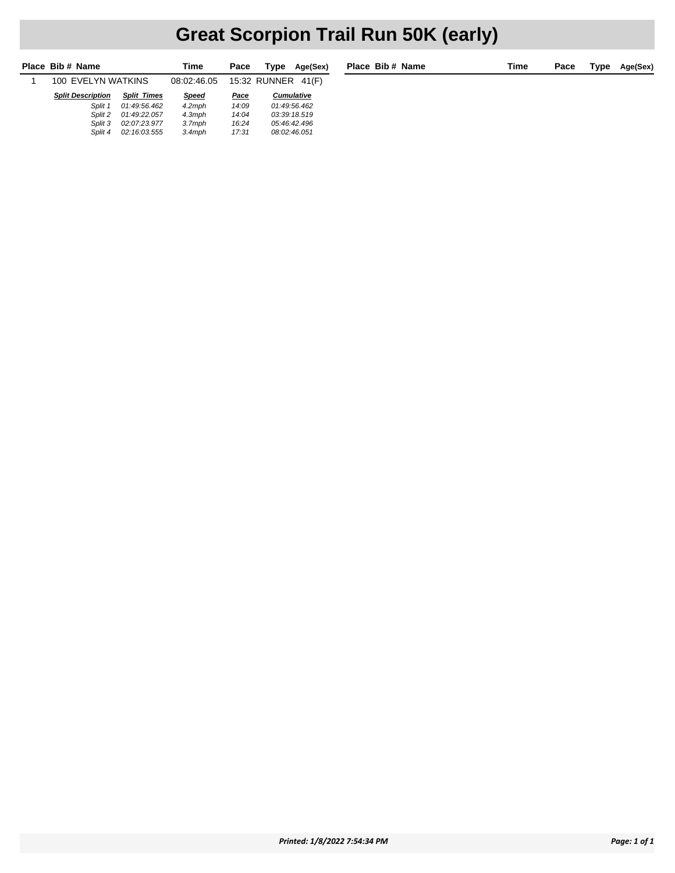### **Great Scorpion Trail Run 50K (early)**

|   | Place Bib # Name         |                    | Time         | Pace  | Type               | Age(Sex |
|---|--------------------------|--------------------|--------------|-------|--------------------|---------|
| 1 | 100 EVELYN WATKINS       |                    | 08:02:46.05  |       | 15:32 RUNNER 41(F) |         |
|   | <b>Split Description</b> | <b>Split Times</b> | <b>Speed</b> | Pace  | <b>Cumulative</b>  |         |
|   | Split 1                  | 01:49:56.462       | $4.2$ mph    | 14:09 | 01:49:56.462       |         |
|   | Split 2                  | 01:49:22.057       | $4.3$ mph    | 14:04 | 03:39:18.519       |         |
|   | Split 3                  | 02:07:23.977       | $3.7$ mph    | 16:24 | 05:46:42.496       |         |
|   | Split 4                  | 02:16:03.555       | $3.4$ mph    | 17:31 | 08:02:46.051       |         |
|   |                          |                    |              |       |                    |         |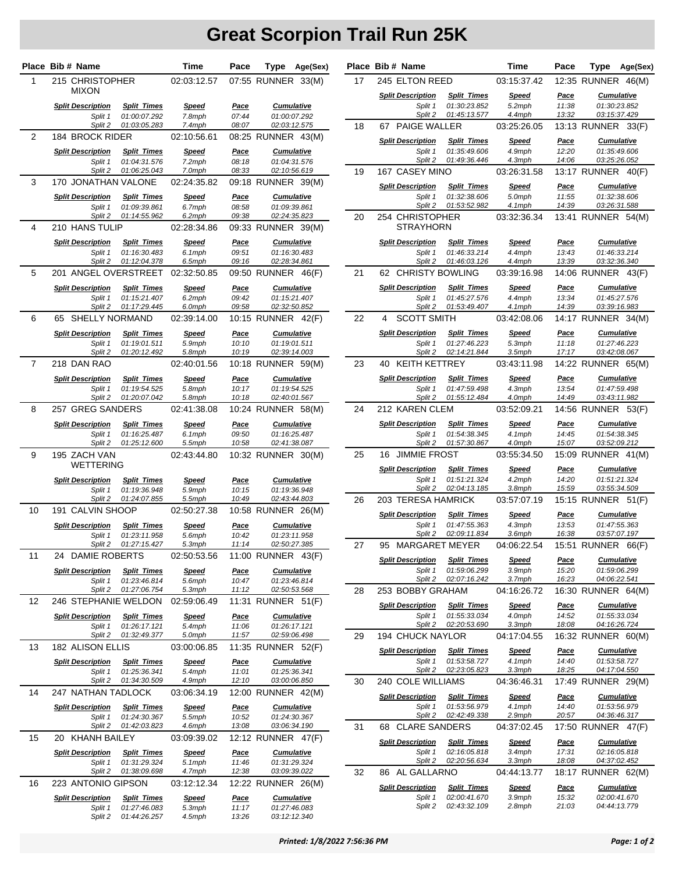|                | Place Bib # Name                                    |                                    | Time                        | Pace                 | Type                                    | Age(Sex)     |    | Place Bib # Name                               |                                                    | Time                             | Pace                          | Type                                              | Age(Sex) |
|----------------|-----------------------------------------------------|------------------------------------|-----------------------------|----------------------|-----------------------------------------|--------------|----|------------------------------------------------|----------------------------------------------------|----------------------------------|-------------------------------|---------------------------------------------------|----------|
| 1              | 215 CHRISTOPHER                                     |                                    | 02:03:12.57                 |                      | 07:55 RUNNER 33(M)                      |              | 17 | 245 ELTON REED                                 |                                                    | 03:15:37.42                      |                               | 12:35 RUNNER 46(M)                                |          |
|                | <b>MIXON</b><br><b>Split Description</b><br>Split 1 | <b>Split Times</b><br>01:00:07.292 | <b>Speed</b><br>7.8mph      | <u>Pace</u><br>07:44 | <b>Cumulative</b><br>01:00:07.292       |              |    | <b>Split Description</b><br>Split 1<br>Split 2 | <b>Split Times</b><br>01:30:23.852<br>01:45:13.577 | <b>Speed</b><br>5.2mph<br>4.4mph | <u>Pace</u><br>11:38<br>13:32 | <b>Cumulative</b><br>01:30:23.852<br>03:15:37.429 |          |
|                | Split 2                                             | 01:03:05.283                       | 7.4mph                      | 08:07                | 02:03:12.575                            |              | 18 | 67 PAIGE WALLER                                |                                                    | 03:25:26.05                      |                               | 13:13 RUNNER 33(F)                                |          |
| 2              | 184 BROCK RIDER                                     |                                    | 02:10:56.61                 |                      | 08:25 RUNNER 43(M)                      |              |    | <b>Split Description</b>                       | <b>Split Times</b>                                 | <b>Speed</b>                     | <u>Pace</u>                   | <b>Cumulative</b>                                 |          |
|                | <b>Split Description</b><br>Split 1                 | <b>Split Times</b><br>01:04:31.576 | <b>Speed</b><br>7.2mph      | <u>Pace</u><br>08:18 | <b>Cumulative</b><br>01:04:31.576       |              |    | Split 1<br>Split 2                             | 01:35:49.606<br>01:49:36.446                       | 4.9mph<br>4.3mph                 | 12:20<br>14:06                | 01:35:49.606<br>03:25:26.052                      |          |
|                | Split 2                                             | 01:06:25.043                       | 7.0mph                      | 08:33                | 02:10:56.619                            |              | 19 | 167 CASEY MINO                                 |                                                    | 03:26:31.58                      |                               | 13:17 RUNNER 40(F)                                |          |
| 3              | 170 JONATHAN VALONE                                 |                                    | 02:24:35.82                 |                      | 09:18 RUNNER 39(M)                      |              |    | <b>Split Description</b>                       | <b>Split Times</b>                                 | <u>Speed</u>                     | <u>Pace</u>                   | <b>Cumulative</b>                                 |          |
|                | <b>Split Description</b>                            | <b>Split Times</b>                 | <u>Speed</u>                | <b>Pace</b>          | <b>Cumulative</b>                       |              |    | Split 1                                        | 01:32:38.606                                       | 5.0mph                           | 11:55                         | 01:32:38.606                                      |          |
|                | Split 1<br>Split 2                                  | 01:09:39.861<br>01:14:55.962       | 6.7mph<br>6.2mph            | 08:58<br>09:38       | 01:09:39.861<br>02:24:35.823            |              |    | Split 2                                        | 01:53:52.982                                       | 4.1mph                           | 14:39                         | 03:26:31.588                                      |          |
| 4              | 210 HANS TULIP                                      |                                    | 02:28:34.86                 |                      | 09:33 RUNNER 39(M)                      |              | 20 | 254 CHRISTOPHER<br><b>STRAYHORN</b>            |                                                    | 03:32:36.34                      |                               | 13:41 RUNNER 54(M)                                |          |
|                | <b>Split Description</b>                            | <b>Split Times</b>                 | Speed                       | Pace                 | <b>Cumulative</b>                       |              |    | <b>Split Description</b>                       | <b>Split Times</b>                                 | <u>Speed</u>                     | <u>Pace</u>                   | <b>Cumulative</b>                                 |          |
|                | Split 1                                             | 01:16:30.483                       | 6.1mph                      | 09:51                | 01:16:30.483                            |              |    | Split 1                                        | 01:46:33.214                                       | 4.4mph                           | 13:43                         | 01:46:33.214                                      |          |
|                | Split 2                                             | 01:12:04.378                       | 6.5mph                      | 09:16                | 02:28:34.861                            |              |    | Split 2                                        | 01:46:03.126                                       | 4.4mph                           | 13:39                         | 03:32:36.340                                      |          |
| 5              | 201 ANGEL OVERSTREET                                |                                    | 02:32:50.85                 |                      | 09:50 RUNNER 46(F)                      |              | 21 | 62 CHRISTY BOWLING                             |                                                    | 03:39:16.98                      |                               | 14:06 RUNNER 43(F)                                |          |
|                | <b>Split Description</b>                            | <b>Split Times</b>                 | <b>Speed</b><br>6.2mph      | <u>Pace</u><br>09:42 | <b>Cumulative</b><br>01:15:21.407       |              |    | <b>Split Description</b>                       | <b>Split Times</b>                                 | <u>Speed</u>                     | <u>Pace</u><br>13:34          | <b>Cumulative</b>                                 |          |
|                | Split 1<br>Split 2                                  | 01:15:21.407<br>01:17:29.445       | 6.0mph                      | 09:58                | 02:32:50.852                            |              |    | Split 1<br>Split 2                             | 01:45:27.576<br>01:53:49.407                       | 4.4mph<br>4.1mph                 | 14:39                         | 01:45:27.576<br>03:39:16.983                      |          |
| 6              | 65 SHELLY NORMAND                                   |                                    | 02:39:14.00                 |                      | 10:15 RUNNER 42(F)                      |              | 22 | <b>SCOTT SMITH</b><br>4                        |                                                    | 03:42:08.06                      |                               | 14:17 RUNNER 34(M)                                |          |
|                | <b>Split Description</b>                            | <b>Split Times</b>                 | <b>Speed</b>                | Pace                 | <b>Cumulative</b>                       |              |    | <b>Split Description</b>                       | <b>Split Times</b>                                 | <b>Speed</b>                     | <u>Pace</u>                   | <b>Cumulative</b>                                 |          |
|                | Split 1<br>Split 2                                  | 01:19:01.511<br>01:20:12.492       | 5.9mph<br>5.8mph            | 10:10<br>10:19       | 01:19:01.511<br>02:39:14.003            |              |    | Split 1<br>Split 2                             | 01:27:46.223<br>02:14:21.844                       | 5.3mph<br>3.5mph                 | 11:18<br>17:17                | 01:27:46.223<br>03:42:08.067                      |          |
| $\overline{7}$ | 218 DAN RAO                                         |                                    | 02:40:01.56                 |                      | 10:18 RUNNER 59(M)                      |              | 23 | <b>KEITH KETTREY</b><br>40                     |                                                    | 03:43:11.98                      |                               | 14:22 RUNNER 65(M)                                |          |
|                | <b>Split Description</b>                            | <b>Split Times</b>                 | <u>Speed</u>                | <u>Pace</u>          | <b>Cumulative</b>                       |              |    | <b>Split Description</b>                       | <b>Split Times</b>                                 | <b>Speed</b>                     | <u>Pace</u>                   | <b>Cumulative</b>                                 |          |
|                | Split 1                                             | 01:19:54.525                       | 5.8mph                      | 10:17                | 01:19:54.525                            |              |    | Split 1                                        | 01:47:59.498                                       | 4.3mph                           | 13:54                         | 01:47:59.498                                      |          |
| 8              | Split 2<br>257 GREG SANDERS                         | 01:20:07.042                       | 5.8mph                      | 10:18                | 02:40:01.567                            |              | 24 | Split 2<br>212 KAREN CLEM                      | 01:55:12.484                                       | 4.0mph<br>03:52:09.21            | 14:49                         | 03:43:11.982<br>14:56 RUNNER 53(F)                |          |
|                |                                                     |                                    | 02:41:38.08                 |                      | 10:24 RUNNER 58(M)                      |              |    |                                                |                                                    |                                  |                               |                                                   |          |
|                | <b>Split Description</b><br>Split 1                 | <b>Split Times</b><br>01:16:25.487 | <u>Speed</u><br>6.1mph      | <b>Pace</b><br>09:50 | <b>Cumulative</b><br>01:16:25.487       |              |    | <b>Split Description</b><br>Split 1            | <b>Split Times</b><br>01:54:38.345                 | <u>Speed</u><br>4.1mph           | <u>Pace</u><br>14:45          | <b>Cumulative</b><br>01:54:38.345                 |          |
|                | Split 2                                             | 01:25:12.600                       | 5.5mph                      | 10:58                | 02:41:38.087                            |              |    | Split 2                                        | 01:57:30.867                                       | 4.0mph                           | 15:07                         | 03:52:09.212                                      |          |
| 9              | 195 ZACH VAN<br><b>WETTERING</b>                    |                                    | 02:43:44.80                 |                      | 10:32 RUNNER 30(M)                      |              | 25 | 16 JIMMIE FROST                                |                                                    | 03:55:34.50                      |                               | 15:09 RUNNER 41(M)                                |          |
|                |                                                     | <b>Split Times</b>                 |                             |                      |                                         |              |    | <b>Split Description</b><br>Split 1            | <b>Split Times</b><br>01:51:21.324                 | <b>Speed</b><br>4.2mph           | <u>Pace</u><br>14:20          | <b>Cumulative</b><br>01:51:21.324                 |          |
|                | <b>Split Description</b><br>Split 1                 | 01:19:36.948                       | <b>Speed</b><br>5.9mph      | <u>Pace</u><br>10:15 | <b>Cumulative</b><br>01:19:36.948       |              |    | Split 2                                        | 02:04:13.185                                       | 3.8mph                           | 15:59                         | 03:55:34.509                                      |          |
|                | Split 2                                             | 01:24:07.855                       | 5.5mph                      | 10:49                | 02:43:44.803                            |              | 26 | 203 TERESA HAMRICK                             |                                                    | 03:57:07.19                      |                               | 15:15 RUNNER 51(F)                                |          |
| 10             | 191 CALVIN SHOOP                                    |                                    | 02:50:27.38                 |                      | 10:58 RUNNER 26(M)                      |              |    | <b>Split Description</b>                       | <b>Split Times</b>                                 | <b>Speed</b>                     | <u>Pace</u>                   | <b>Cumulative</b>                                 |          |
|                | <b>Split Description</b>                            | <b>Split Times</b>                 | <u>Speed</u>                | <u>Pace</u>          | <b>Cumulative</b>                       |              |    | Split 1                                        | 01:47:55.363                                       | 4.3mph                           | 13:53                         | 01:47:55.363<br>03:57:07.197                      |          |
|                | Split 1<br>Split 2                                  | 01:23:11.958<br>01:27:15.427       | 5.6mph<br>5.3mph            | 10:42<br>11:14       | 01:23:11.958<br>02:50:27.385            |              | 27 | Split 2<br>95 MARGARET MEYER                   | 02:09:11.834                                       | 3.6mph<br>04:06:22.54            | 16:38                         | 15:51 RUNNER 66(F)                                |          |
| 11             | 24 DAMIE ROBERTS                                    |                                    | 02:50:53.56                 |                      | 11:00 RUNNER 43(F)                      |              |    | <b>Split Description</b>                       | <b>Split Times</b>                                 | <b>Speed</b>                     | <u>Pace</u>                   | <b>Cumulative</b>                                 |          |
|                | <b>Split Description</b>                            | <b>Split Times</b>                 | <b>Speed</b>                | <u>Pace</u>          | <b>Cumulative</b>                       |              |    | Split 1                                        | 01:59:06.299                                       | 3.9mph                           | 15:20                         | 01:59:06.299                                      |          |
|                | Split 1                                             | 01:23:46.814                       | 5.6mph                      | 10:47                | 01:23:46.814                            |              |    | Split 2                                        | 02:07:16.242                                       | 3.7mph                           | 16:23                         | 04:06:22.541                                      |          |
|                | Split 2                                             | 01:27:06.754                       | 5.3mph                      | 11:12                |                                         | 02:50:53.568 | 28 | 253 BOBBY GRAHAM                               |                                                    | 04:16:26.72                      |                               | 16:30 RUNNER 64(M)                                |          |
| 12             | 246 STEPHANIE WELDON                                |                                    | 02:59:06.49                 |                      | 11:31 RUNNER 51(F)                      |              |    | <b>Split Description</b>                       | <b>Split Times</b>                                 | <b>Speed</b>                     | <u>Pace</u>                   | <b>Cumulative</b>                                 |          |
|                | <b>Split Description</b><br>Split 1                 | <b>Split Times</b><br>01:26:17.121 | <u>Speed</u><br>5.4mph      | <u>Pace</u><br>11:06 | <b>Cumulative</b><br>01:26:17.121       |              |    | Split 1<br>Split 2                             | 01:55:33.034<br>02:20:53.690                       | 4.0mph<br>3.3mph                 | 14:52<br>18:08                | 01:55:33.034<br>04:16:26.724                      |          |
|                | Split 2                                             | 01:32:49.377                       | 5.0mph                      | 11:57                | 02:59:06.498                            |              | 29 | 194 CHUCK NAYLOR                               |                                                    | 04:17:04.55                      |                               | 16:32 RUNNER 60(M)                                |          |
| 13             | 182 ALISON ELLIS                                    |                                    | 03:00:06.85                 |                      | 11:35 RUNNER 52(F)                      |              |    | <b>Split Description</b>                       | <b>Split Times</b>                                 | <b>Speed</b>                     | <u>Pace</u>                   | <b>Cumulative</b>                                 |          |
|                | <b>Split Description</b>                            | <b>Split Times</b>                 | <b>Speed</b>                | <u>Pace</u>          | <b>Cumulative</b>                       |              |    | Split 1                                        | 01:53:58.727                                       | $4.1$ mph                        | 14:40                         | 01:53:58.727                                      |          |
|                | Split 1<br>Split 2                                  | 01:25:36.341<br>01:34:30.509       | 5.4mph<br>4.9mph            | 11:01<br>12:10       | 01:25:36.341<br>03:00:06.850            |              | 30 | Split 2<br>240 COLE WILLIAMS                   | 02:23:05.823                                       | 3.3mph<br>04:36:46.31            | 18:25                         | 04:17:04.550<br>17:49 RUNNER 29(M)                |          |
| 14             | 247 NATHAN TADLOCK                                  |                                    | 03:06:34.19                 |                      | 12:00 RUNNER 42(M)                      |              |    |                                                |                                                    |                                  |                               |                                                   |          |
|                | <b>Split Description</b>                            | <b>Split Times</b>                 | <b>Speed</b>                | <u>Pace</u>          | <b>Cumulative</b>                       |              |    | <b>Split Description</b><br>Split 1            | <b>Split Times</b><br>01:53:56.979                 | <b>Speed</b><br>4.1mph           | <u>Pace</u><br>14:40          | <b>Cumulative</b><br>01:53:56.979                 |          |
|                | Split 1                                             | 01:24:30.367                       | 5.5mph                      | 10:52                | 01:24:30.367                            |              |    | Split 2                                        | 02:42:49.338                                       | 2.9mph                           | 20:57                         | 04:36:46.317                                      |          |
|                | Split 2                                             | 01:42:03.823                       | 4.6mph                      | 13:08                | 03:06:34.190                            |              | 31 | 68 CLARE SANDERS                               |                                                    | 04:37:02.45                      |                               | 17:50 RUNNER 47(F)                                |          |
| 15             | 20 KHANH BAILEY<br><b>Split Description</b>         | <b>Split Times</b>                 | 03:09:39.02<br><b>Speed</b> | <b>Pace</b>          | 12:12 RUNNER 47(F)<br><b>Cumulative</b> |              |    | <b>Split Description</b><br>Split 1            | <b>Split Times</b><br>02:16:05.818                 | <b>Speed</b><br>3.4mph           | <u>Pace</u><br>17:31          | <b>Cumulative</b><br>02:16:05.818                 |          |
|                | Split 1                                             | 01:31:29.324                       | 5.1mph                      | 11:46                | 01:31:29.324                            |              |    | Split 2                                        | 02:20:56.634                                       | 3.3mph                           | 18:08                         | 04:37:02.452                                      |          |
|                | Split 2                                             | 01:38:09.698                       | 4.7mph                      | 12:38                |                                         | 03:09:39.022 | 32 | 86 AL GALLARNO                                 |                                                    | 04:44:13.77                      |                               | 18:17 RUNNER 62(M)                                |          |
| 16             | 223 ANTONIO GIPSON                                  |                                    | 03:12:12.34                 |                      | 12:22 RUNNER 26(M)                      |              |    | <b>Split Description</b>                       | <b>Split Times</b>                                 | <b>Speed</b>                     | <u>Pace</u>                   | <b>Cumulative</b>                                 |          |
|                | <b>Split Description</b>                            | <b>Split Times</b>                 | <u>Speed</u>                | <u>Pace</u>          | <b>Cumulative</b>                       |              |    | Split 1<br>Split 2                             | 02:00:41.670<br>02:43:32.109                       | 3.9mph<br>2.8mph                 | 15:32<br>21:03                | 02:00:41.670<br>04:44:13.779                      |          |
|                | Split 1<br>Split 2                                  | 01:27:46.083<br>01:44:26.257       | 5.3mph<br>4.5mph            | 11:17<br>13:26       | 01:27:46.083<br>03:12:12.340            |              |    |                                                |                                                    |                                  |                               |                                                   |          |

|    | Place Bib # Name                               |                                    | Time                   | Pace                 | Type                              | Age(Sex) |  |
|----|------------------------------------------------|------------------------------------|------------------------|----------------------|-----------------------------------|----------|--|
| 17 | 245 ELTON REED                                 |                                    | 03:15:37.42            |                      | 12:35 RUNNER                      | 46(M)    |  |
|    | <b>Split Description</b>                       | <b>Split Times</b>                 | <b>Speed</b>           | Pace                 | <b>Cumulative</b>                 |          |  |
|    | Split 1                                        | 01:30:23.852                       | 5.2mph                 | 11:38                | 01:30:23.852                      |          |  |
|    | Split 2<br><b>PAIGE WALLER</b>                 | 01:45:13.577                       | 4.4mph                 | 13:32                | 03:15:37.429                      |          |  |
| 18 | 67                                             |                                    | 03:25:26.05            |                      | 13:13 RUNNER                      | 33(F)    |  |
|    | <b>Split Description</b><br>Split 1            | <b>Split Times</b><br>01:35:49.606 | <b>Speed</b><br>4.9mph | <b>Pace</b><br>12:20 | <b>Cumulative</b><br>01:35:49.606 |          |  |
|    | Split 2                                        | 01:49:36.446                       | 4.3mph                 | 14:06                | 03:25:26.052                      |          |  |
| 19 | 167 CASEY MINO                                 |                                    | 03:26:31.58            |                      | <b>13:17 RUNNER</b>               | 40(F)    |  |
|    | <b>Split Description</b>                       | <b>Split Times</b>                 | <b>Speed</b>           | Pace                 | <b>Cumulative</b>                 |          |  |
|    | Split 1                                        | 01:32:38.606                       | 5.0mph                 | 11:55                | 01:32:38.606                      |          |  |
| 20 | Split 2<br>254 CHRISTOPHER                     | 01:53:52.982                       | 4.1mph<br>03:32:36.34  | 14:39<br>13:41       | 03:26:31.588<br>RUNNER            | 54(M)    |  |
|    | STRAYHORN                                      |                                    |                        |                      |                                   |          |  |
|    | <b>Split Description</b>                       | <b>Split Times</b>                 | <u>Speed</u>           | <b>Pace</b>          | <b>Cumulative</b>                 |          |  |
|    | Split 1<br>Split 2                             | 01:46:33.214<br>01:46:03.126       | 4.4mph<br>4.4mph       | 13:43<br>13:39       | 01:46:33.214<br>03:32:36.340      |          |  |
| 21 | <b>CHRISTY BOWLING</b><br>62                   |                                    | 03:39:16.98            | 14:06                | RUNNER                            | 43(F)    |  |
|    | <b>Split Description</b>                       | <b>Split Times</b>                 | <u>Speed</u>           | Pace                 | <b>Cumulative</b>                 |          |  |
|    | Split 1                                        | 01:45:27.576                       | 4.4mph                 | 13:34                | 01:45:27.576                      |          |  |
|    | Split 2                                        | 01:53:49.407                       | 4.1mph                 | 14:39                | 03:39:16.983                      |          |  |
| 22 | <b>SCOTT SMITH</b><br>4                        |                                    | 03:42:08.06            |                      | <b>14:17 RUNNER</b>               | 34(M)    |  |
|    | <b>Split Description</b>                       | <b>Split Times</b>                 | <u>Speed</u>           | Pace                 | <b>Cumulative</b>                 |          |  |
|    | Split 1<br>Split 2                             | 01:27:46.223<br>02:14:21.844       | 5.3mph<br>3.5mph       | 11:18<br>17:17       | 01:27:46.223<br>03:42:08.067      |          |  |
| 23 | <b>KEITH KETTREY</b><br>40                     |                                    | 03:43:11.98            |                      | 14:22 RUNNER                      | 65(M)    |  |
|    | <b>Split Description</b>                       | <b>Split Times</b>                 | <u>Speed</u>           | <b>Pace</b>          | <b>Cumulative</b>                 |          |  |
|    | Split 1                                        | 01:47:59.498                       | 4.3mph                 | 13:54                | 01:47:59.498                      |          |  |
|    | Split 2                                        | 01:55:12.484                       | 4.0mph                 | 14:49                | 03:43:11.982                      |          |  |
| 24 | 212 KAREN CLEM                                 |                                    | 03:52:09.21            |                      | 14:56 RUNNER                      | 53(F)    |  |
|    | <b>Split Description</b><br>Split 1            | <b>Split Times</b><br>01:54:38.345 | <u>Speed</u><br>4.1mph | Pace<br>14:45        | <b>Cumulative</b><br>01:54:38.345 |          |  |
|    | Split 2                                        | 01:57:30.867                       | 4.0mph                 | 15:07                | 03:52:09.212                      |          |  |
| 25 | <b>JIMMIE FROST</b><br>16                      |                                    | 03:55:34.50            | 15:09                | RUNNER                            | 41(M)    |  |
|    | <b>Split Description</b>                       | <u>Split Times</u>                 | <u>Speed</u>           | <u>Pace</u>          | <b>Cumulative</b>                 |          |  |
|    | Split 1<br>Split 2                             | 01:51:21.324<br>02:04:13.185       | 4.2mph<br>3.8mph       | 14:20<br>15:59       | 01:51:21.324<br>03:55:34.509      |          |  |
| 26 | 203 TERESA HAMRICK                             |                                    | 03:57:07.19            |                      | 15:15 RUNNER                      | 51(F)    |  |
|    | <b>Split Description</b>                       | <b>Split Times</b>                 | <u>Speed</u>           | <u>Pace</u>          | <b>Cumulative</b>                 |          |  |
|    | Split 1                                        | 01:47:55.363                       | 4.3mph                 | 13:53                | 01:47:55.363                      |          |  |
| 27 | Split 2<br><b>MARGARET MEYER</b><br>95         | 02:09:11.834                       | 3.6mph<br>04:06:22.54  | 16:38<br>15:51       | 03:57:07.197<br><b>RUNNER</b>     | 66(F)    |  |
|    | <b>Split Description</b>                       | <b>Split Times</b>                 | <u>Speed</u>           | <u>Pace</u>          | <u>Cumulative</u>                 |          |  |
|    | Split 1                                        | 01:59:06.299                       | 3.9mph                 | 15:20                | 01:59:06.299                      |          |  |
|    | Split 2                                        | 02:07:16.242                       | 3.7mph                 | 16:23                | 04:06:22.541                      |          |  |
| 28 | 253 BOBBY GRAHAM                               |                                    | 04:16:26.72            |                      | 16:30 RUNNER                      | 64(M)    |  |
|    | <b>Split Description</b><br>Split 1            | <b>Split Times</b><br>01:55:33.034 | <b>Speed</b><br>4.0mph | <u>Pace</u><br>14:52 | <b>Cumulative</b><br>01:55:33.034 |          |  |
|    | Split 2                                        | 02:20:53.690                       | 3.3mph                 | 18:08                | 04:16:26.724                      |          |  |
| 29 | <b>194 CHUCK NAYLOR</b>                        |                                    | 04:17:04.55            |                      | 16:32 RUNNER                      | 60(M)    |  |
|    | <b>Split Description</b>                       | <b>Split Times</b>                 | <u>Speed</u>           | <u>Pace</u>          | <b>Cumulative</b>                 |          |  |
|    | Split 1<br>Split 2                             | 01:53:58.727                       | 4.1mph<br>3.3mph       | 14:40<br>18:25       | 01:53:58.727<br>04:17:04.550      |          |  |
| 30 | 240 COLE WILLIAMS                              | 02:23:05.823                       | 04:36:46.31            |                      | 17:49 RUNNER                      | 29(M)    |  |
|    | <b>Split Description</b>                       | <b>Split Times</b>                 | <b>Speed</b>           | <u>Pace</u>          | <b>Cumulative</b>                 |          |  |
|    | Split 1                                        | 01:53:56.979                       | 4.1mph                 | 14:40                | 01:53:56.979                      |          |  |
|    | 02:42:49.338<br>Split 2                        |                                    | 2.9mph                 | 20:57                | 04:36:46.317                      |          |  |
| 31 | <b>CLARE SANDERS</b><br>68                     |                                    | 04:37:02.45            |                      | 17:50 RUNNER                      | 47(F)    |  |
|    | <b>Split Description</b><br><b>Split Times</b> |                                    | <u>Speed</u>           | <u>Pace</u><br>17:31 | <b>Cumulative</b><br>02:16:05.818 |          |  |
|    | Split 1<br>Split 2                             | 02:16:05.818<br>02:20:56.634       | 3.4mph<br>3.3mph       | 18:08                | 04:37:02.452                      |          |  |
| 32 | AL GALLARNO<br>86                              |                                    | 04:44:13.77            |                      | 18:17 RUNNER                      | 62(M)    |  |
|    | <b>Split Description</b>                       | <b>Split Times</b>                 | <b>Speed</b>           | <u>Pace</u>          | <b>Cumulative</b>                 |          |  |
|    | Split 1                                        | 02:00:41.670                       | 3.9mph                 | 15:32                | 02:00:41.670                      |          |  |
|    | Split 2                                        | 02:43:32.109                       | 2.8mph                 | 21:03                | 04:44:13.779                      |          |  |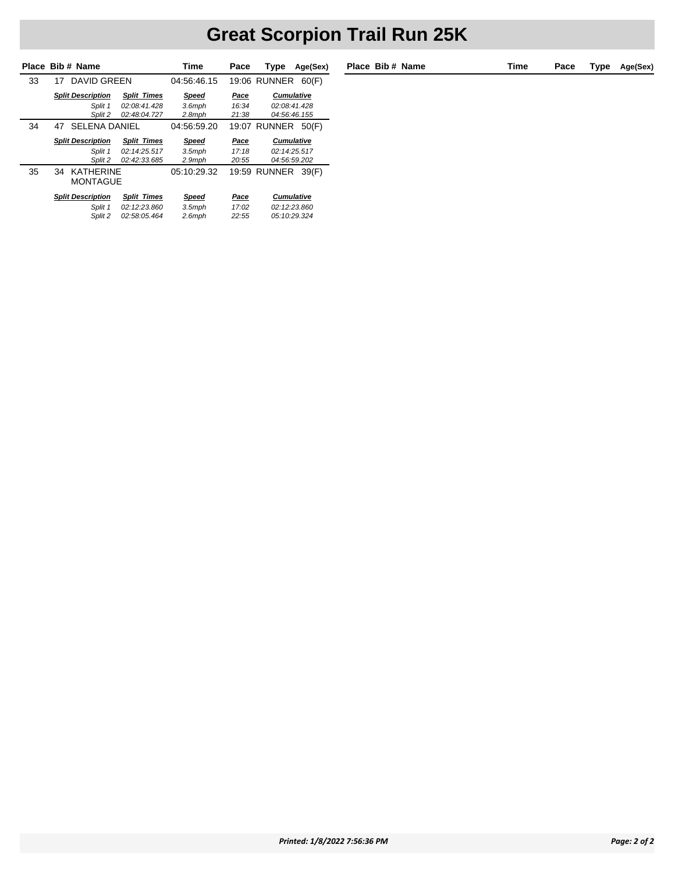|    | Place Bib # Name                               |                    | Time          | Pace  | Type<br>Age(Sex)             |  |
|----|------------------------------------------------|--------------------|---------------|-------|------------------------------|--|
| 33 | 17 DAVID GREEN                                 |                    | 04:56:46.15   |       | <b>19:06 RUNNER</b><br>60(F) |  |
|    | <b>Split Description</b>                       | <b>Split Times</b> | <b>Speed</b>  | Pace  | <b>Cumulative</b>            |  |
|    | Split 1                                        | 02:08:41.428       | $3.6$ mph     | 16:34 | 02:08:41.428                 |  |
|    | Split 2                                        | 02:48:04.727       | $2.8$ mph     | 21:38 | 04:56:46.155                 |  |
| 34 | <b>SELENA DANIEL</b><br>47                     |                    | 04:56:59.20   |       | 19:07 RUNNER<br>50(F)        |  |
|    | <b>Split Description</b><br><b>Split Times</b> |                    | Speed         | Pace  | <b>Cumulative</b>            |  |
|    | Split 1                                        | 02:14:25.517       | $3.5$ mph     | 17:18 | 02:14:25.517                 |  |
|    | Split 2                                        | 02:42:33.685       | $2.9$ mph     | 20:55 | 04:56:59.202                 |  |
| 35 | KATHERINF<br>34<br><b>MONTAGUE</b>             |                    | 05:10:29.32   |       | <b>19:59 RUNNER</b><br>39(F) |  |
|    | <b>Split Description</b><br><b>Split Times</b> |                    | Speed<br>Pace |       | <b>Cumulative</b>            |  |
|    | Split 1<br>02:12:23.860                        |                    | $3.5$ mph     | 17:02 | 02:12:23.860                 |  |
|    | Split 2                                        | 02:58:05.464       | $2.6$ mph     | 22:55 | 05:10:29.324                 |  |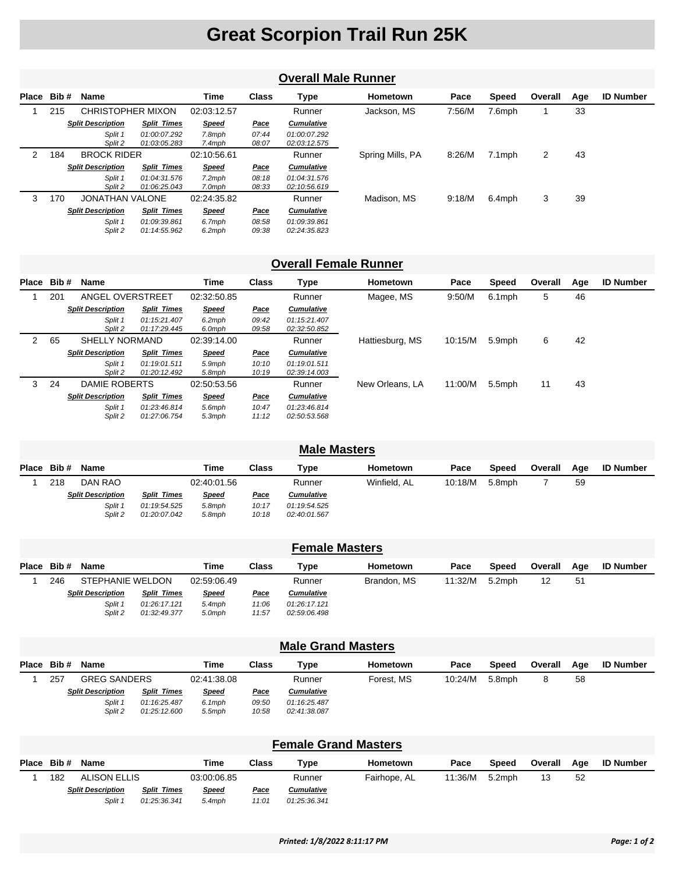#### **Overall Male Runner**

|   | Place Bib# | <b>Name</b>              |                              | Time                | <b>Class</b>   | Type                         | <b>Hometown</b>  | Pace   | <b>Speed</b> | Overall | Age | <b>ID Number</b> |
|---|------------|--------------------------|------------------------------|---------------------|----------------|------------------------------|------------------|--------|--------------|---------|-----|------------------|
|   | 215        | <b>CHRISTOPHER MIXON</b> |                              | 02:03:12.57         |                | Runner                       | Jackson, MS      | 7:56/M | 7.6mph       |         | 33  |                  |
|   |            | <b>Split Description</b> | <b>Split Times</b>           | <b>Speed</b>        | <b>Pace</b>    | <b>Cumulative</b>            |                  |        |              |         |     |                  |
|   |            | Split 1<br>Split 2       | 01:00:07.292<br>01:03:05.283 | 7.8mph<br>7.4mph    | 07:44<br>08:07 | 01:00:07.292<br>02:03:12.575 |                  |        |              |         |     |                  |
| 2 | 184        | <b>BROCK RIDER</b>       |                              | 02:10:56.61         |                | Runner                       | Spring Mills, PA | 8:26/M | 7.1mph       | 2       | 43  |                  |
|   |            | <b>Split Description</b> | <b>Split Times</b>           | <b>Speed</b>        | <u>Pace</u>    | <b>Cumulative</b>            |                  |        |              |         |     |                  |
|   |            | Split 1<br>Split 2       | 01:04:31.576<br>01:06:25.043 | $7.2$ mph<br>7.0mph | 08:18<br>08:33 | 01:04:31.576<br>02:10:56.619 |                  |        |              |         |     |                  |
| 3 | 170        | <b>JONATHAN VALONE</b>   |                              | 02:24:35.82         |                | Runner                       | Madison, MS      | 9:18/M | 6.4mph       | 3       | 39  |                  |
|   |            | <b>Split Description</b> | <b>Split Times</b>           | <b>Speed</b>        | <b>Pace</b>    | <b>Cumulative</b>            |                  |        |              |         |     |                  |
|   |            | Split 1<br>Split 2       | 01:09:39.861<br>01:14:55.962 | 6.7mph<br>$6.2$ mph | 08:58<br>09:38 | 01:09:39.861<br>02:24:35.823 |                  |        |              |         |     |                  |

#### **Overall Female Runner**

| Place Bib# |     | Name                     |                              | Time                | <b>Class</b>   | Type                         | Hometown        | Pace    | <b>Speed</b> | Overall | Age | <b>ID Number</b> |
|------------|-----|--------------------------|------------------------------|---------------------|----------------|------------------------------|-----------------|---------|--------------|---------|-----|------------------|
|            | 201 | ANGEL OVERSTREET         |                              | 02:32:50.85         |                | Runner                       | Magee, MS       | 9:50/M  | 6.1mph       | 5       | 46  |                  |
|            |     | <b>Split Description</b> | <b>Split Times</b>           | <b>Speed</b>        | <u>Pace</u>    | <b>Cumulative</b>            |                 |         |              |         |     |                  |
|            |     | Split 1<br>Split 2       | 01:15:21.407<br>01:17:29.445 | 6.2mph<br>6.0mph    | 09:42<br>09:58 | 01:15:21.407<br>02:32:50.852 |                 |         |              |         |     |                  |
| 2          | 65  | SHELLY NORMAND           |                              | 02:39:14.00         |                | Runner                       | Hattiesburg, MS | 10:15/M | 5.9mph       | 6       | 42  |                  |
|            |     | <b>Split Description</b> | <b>Split Times</b>           | <b>Speed</b>        | <u>Pace</u>    | <b>Cumulative</b>            |                 |         |              |         |     |                  |
|            |     | Split 1<br>Split 2       | 01:19:01.511<br>01:20:12.492 | 5.9mph<br>5.8mph    | 10:10<br>10:19 | 01:19:01.511<br>02:39:14.003 |                 |         |              |         |     |                  |
| 3          | 24  | DAMIE ROBERTS            |                              | 02:50:53.56         |                | Runner                       | New Orleans, LA | 11:00/M | 5.5mph       | 11      | 43  |                  |
|            |     | <b>Split Description</b> | <b>Split Times</b>           | <b>Speed</b>        | <u>Pace</u>    | <b>Cumulative</b>            |                 |         |              |         |     |                  |
|            |     | Split 1<br>Split 2       | 01:23:46.814<br>01:27:06.754 | 5.6mph<br>$5.3$ mph | 10:47<br>11:12 | 01:23:46.814<br>02:50:53.568 |                 |         |              |         |     |                  |

| <b>Male Masters</b> |            |                          |                              |                  |                |                              |              |         |              |         |     |                  |  |
|---------------------|------------|--------------------------|------------------------------|------------------|----------------|------------------------------|--------------|---------|--------------|---------|-----|------------------|--|
|                     | Place Bib# | Name                     |                              | Time             | Class          | Type                         | Hometown     | Pace    | <b>Speed</b> | Overall | Age | <b>ID Number</b> |  |
|                     | 218        | DAN RAO                  |                              | 02:40:01.56      |                | Runner                       | Winfield, AL | 10:18/M | 5.8mph       |         | 59  |                  |  |
|                     |            | <b>Split Description</b> | <b>Split Times</b>           | <b>Speed</b>     | <u>Pace</u>    | <b>Cumulative</b>            |              |         |              |         |     |                  |  |
|                     |            | Split 1<br>Split 2       | 01:19:54.525<br>01:20:07.042 | 5.8mph<br>5.8mph | 10:17<br>10:18 | 01:19:54.525<br>02:40:01.567 |              |         |              |         |     |                  |  |

|                                                    | <b>Female Masters</b>    |                     |                    |                              |             |                   |             |         |        |         |     |                  |  |  |
|----------------------------------------------------|--------------------------|---------------------|--------------------|------------------------------|-------------|-------------------|-------------|---------|--------|---------|-----|------------------|--|--|
| Place                                              | Bib #                    | Name                |                    | Time                         | Class       | Type              | Hometown    | Pace    | Speed  | Overall | Aae | <b>ID Number</b> |  |  |
|                                                    | 246                      | STEPHANIE WELDON    |                    | 02:59:06.49                  |             | Runner            | Brandon, MS | 11:32/M | 5.2mph | 12      | 51  |                  |  |  |
|                                                    | <b>Split Description</b> |                     | <b>Split Times</b> | <b>Speed</b>                 | <u>Pace</u> | <b>Cumulative</b> |             |         |        |         |     |                  |  |  |
| Split 1<br>01:26:17.121<br>Split 2<br>01:32:49.377 |                          | $5.4$ mph<br>5.0mph | 11:06<br>11:57     | 01:26:17.121<br>02:59:06.498 |             |                   |             |         |        |         |     |                  |  |  |

|                                                                                                                                | <b>Male Grand Masters</b>                                                                                             |                     |  |             |             |                   |            |         |        |   |    |  |  |  |  |
|--------------------------------------------------------------------------------------------------------------------------------|-----------------------------------------------------------------------------------------------------------------------|---------------------|--|-------------|-------------|-------------------|------------|---------|--------|---|----|--|--|--|--|
|                                                                                                                                | Time<br>Place Bib#<br><b>ID Number</b><br>Class<br>Overall<br>Pace<br><b>Hometown</b><br>Speed<br>Name<br>Type<br>Aae |                     |  |             |             |                   |            |         |        |   |    |  |  |  |  |
|                                                                                                                                | 257                                                                                                                   | <b>GREG SANDERS</b> |  | 02:41:38.08 |             | Runner            | Forest. MS | 10:24/M | 5.8mph | 8 | 58 |  |  |  |  |
|                                                                                                                                | <b>Split Description</b><br><b>Split Times</b><br><b>Speed</b>                                                        |                     |  |             | <u>Pace</u> | <b>Cumulative</b> |            |         |        |   |    |  |  |  |  |
| Split 1<br>09:50<br>01:16:25.487<br>$6.1$ mph<br>01:16:25.487<br>Split 2<br>10:58<br>01:25:12.600<br>$5.5$ mph<br>02:41:38.087 |                                                                                                                       |                     |  |             |             |                   |            |         |        |   |    |  |  |  |  |

| <b>Female Grand Masters</b> |            |                          |                    |              |              |            |              |         |        |         |     |                  |  |
|-----------------------------|------------|--------------------------|--------------------|--------------|--------------|------------|--------------|---------|--------|---------|-----|------------------|--|
|                             | Place Bib# | <b>Name</b>              |                    | Time         | Class        | Type       | Hometown     | Pace    | Speed  | Overall | Aae | <b>ID Number</b> |  |
|                             | 182        | ALISON ELLIS             |                    | 03:00:06.85  |              | Runner     | Fairhope, AL | 11:36/M | 5.2mph | 13      | 52  |                  |  |
|                             |            | <b>Split Description</b> | <b>Split Times</b> | <b>Speed</b> | <u>Pace</u>  | Cumulative |              |         |        |         |     |                  |  |
| Split 1<br>01:25:36.341     |            |                          | $5.4$ mph          | 11:01        | 01:25:36.341 |            |              |         |        |         |     |                  |  |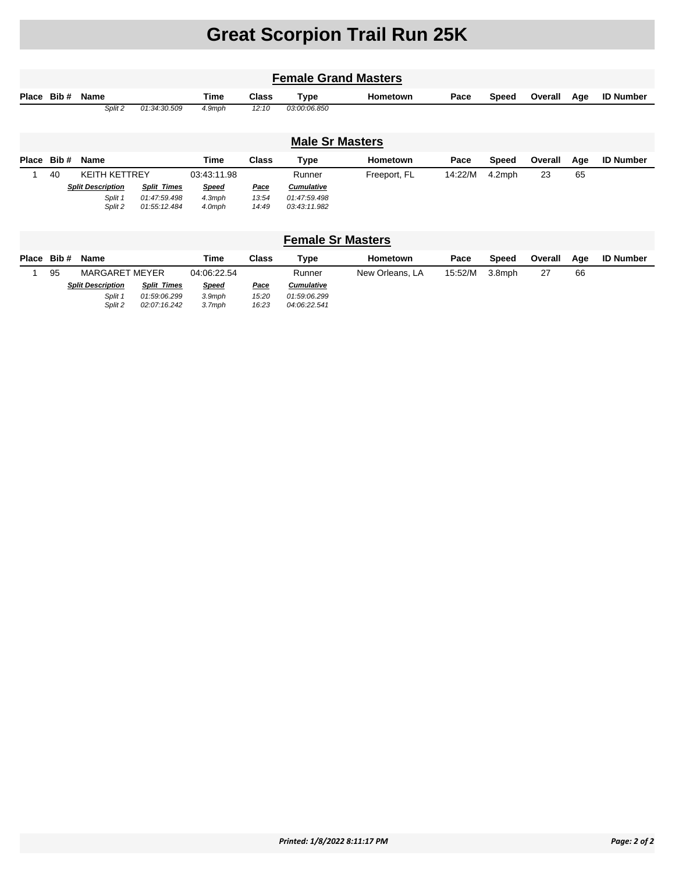| <b>Female Grand Masters</b> |    |                          |                    |              |              |                   |              |         |              |         |     |                  |
|-----------------------------|----|--------------------------|--------------------|--------------|--------------|-------------------|--------------|---------|--------------|---------|-----|------------------|
| Place Bib#                  |    | Name                     |                    | Time         | <b>Class</b> | Type              | Hometown     | Pace    | <b>Speed</b> | Overall | Age | <b>ID Number</b> |
|                             |    | Split 2                  | 01:34:30.509       | 4.9mph       | 12:10        | 03:00:06.850      |              |         |              |         |     |                  |
| <b>Male Sr Masters</b>      |    |                          |                    |              |              |                   |              |         |              |         |     |                  |
| Place Bib#                  |    | Name                     |                    | Time         | <b>Class</b> | <b>Type</b>       | Hometown     | Pace    | <b>Speed</b> | Overall | Age | <b>ID Number</b> |
|                             | 40 | <b>KEITH KETTREY</b>     |                    | 03:43:11.98  |              | Runner            | Freeport, FL | 14:22/M | 4.2mph       | 23      | 65  |                  |
|                             |    | <b>Split Description</b> | <b>Split Times</b> | <b>Speed</b> | <u>Pace</u>  | <b>Cumulative</b> |              |         |              |         |     |                  |
|                             |    | Split 1                  | 01:47:59.498       | $4.3$ mph    | 13:54        | 01:47:59.498      |              |         |              |         |     |                  |
|                             |    | Split 2                  | 01:55:12.484       | 4.0mph       | 14:49        | 03:43:11.982      |              |         |              |         |     |                  |

| <b>Female Sr Masters</b> |       |                          |                    |              |             |                   |                 |         |        |         |     |                  |  |
|--------------------------|-------|--------------------------|--------------------|--------------|-------------|-------------------|-----------------|---------|--------|---------|-----|------------------|--|
| Place                    | Bib # | Name                     |                    | <b>Time</b>  | Class       | Type              | Hometown        | Pace    | Speed  | Overall | Aae | <b>ID Number</b> |  |
|                          | 95    | <b>MARGARET MEYER</b>    |                    | 04:06:22.54  |             | Runner            | New Orleans, LA | 15:52/M | 3.8mph | 27      | 66  |                  |  |
|                          |       | <b>Split Description</b> | <b>Split Times</b> | <b>Speed</b> | <u>Pace</u> | <b>Cumulative</b> |                 |         |        |         |     |                  |  |
|                          |       | Split 1                  | 01:59:06.299       | $3.9$ mph    | 15:20       | 01:59:06.299      |                 |         |        |         |     |                  |  |
|                          |       | Split 2                  | 02:07:16.242       | 3.7mph       | 16:23       | 04:06:22.541      |                 |         |        |         |     |                  |  |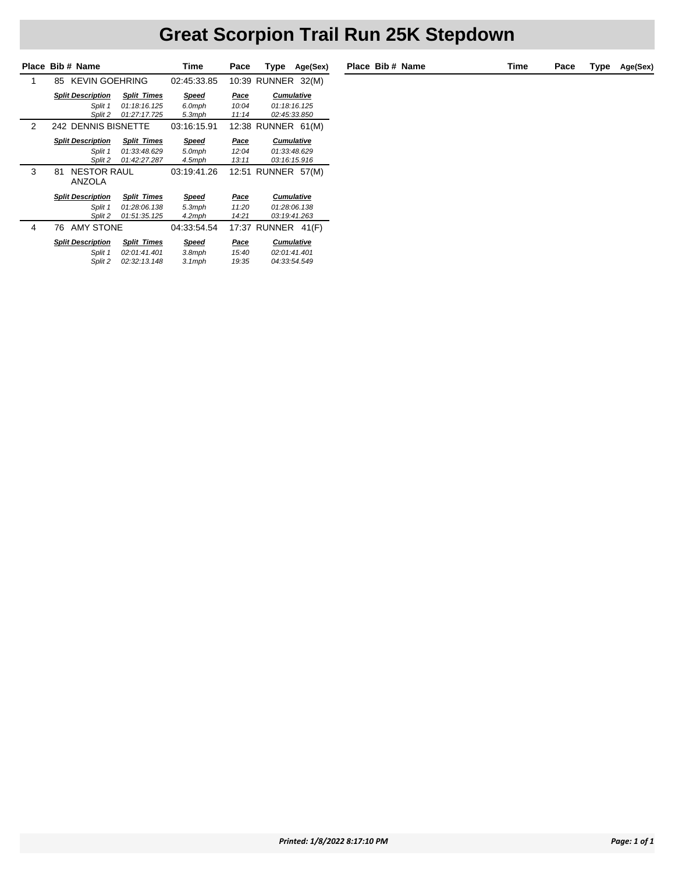### **Great Scorpion Trail Run 25K Stepdown**

|   | Place Bib # Name                                   |                                                    | Time                            | Pace                   | Type                                              | Age(Sex) |  |
|---|----------------------------------------------------|----------------------------------------------------|---------------------------------|------------------------|---------------------------------------------------|----------|--|
| 1 | <b>KEVIN GOEHRING</b><br>85                        |                                                    | 02:45:33.85                     |                        | 10:39 RUNNER                                      | 32(M)    |  |
|   | <b>Split Description</b>                           | <b>Split Times</b>                                 | <b>Speed</b>                    | <b>Pace</b>            | <b>Cumulative</b>                                 |          |  |
|   | Split 1<br>Split 2                                 | 01:18:16.125<br>01:27:17.725                       | 6.0mph<br>5.3mph                | 10:04<br>11:14         | 01:18:16.125<br>02:45:33.850                      |          |  |
| 2 | 242 DENNIS BISNETTE                                |                                                    | 03:16:15.91                     |                        | 12:38 RUNNER                                      | 61(M)    |  |
|   | <b>Split Description</b>                           | <b>Split Times</b>                                 | Speed                           | Pace                   | <b>Cumulative</b>                                 |          |  |
|   | Split 1                                            | 01:33:48.629                                       | 5.0mph                          | 12:04                  | 01:33:48.629                                      |          |  |
|   | Split 2                                            | 01:42:27.287                                       | 4.5mph                          | 13:11                  | 03:16:15.916                                      |          |  |
| 3 | <b>NESTOR RAUL</b><br>81<br><b>ANZOLA</b>          |                                                    | 03:19:41.26                     |                        | 12:51 RUNNER                                      | 57(M)    |  |
|   | <b>Split Description</b>                           | <b>Split Times</b>                                 | Speed                           | Pace                   | <b>Cumulative</b>                                 |          |  |
|   | 01:28:06.138<br>Split 1<br>Split 2<br>01:51:35.125 |                                                    | $5.3$ mph<br>4.2mph             | 11:20<br>14:21         | 01:28:06.138<br>03:19:41.263                      |          |  |
| 4 | <b>AMY STONE</b><br>76                             |                                                    | 04:33:54.54                     |                        | 17:37 RUNNER                                      | 41(F)    |  |
|   | <b>Split Description</b><br>Split 1<br>Split 2     | <b>Split Times</b><br>02:01:41.401<br>02:32:13.148 | Speed<br>$3.8$ mph<br>$3.1$ mph | Pace<br>15:40<br>19:35 | <b>Cumulative</b><br>02:01:41.401<br>04:33:54.549 |          |  |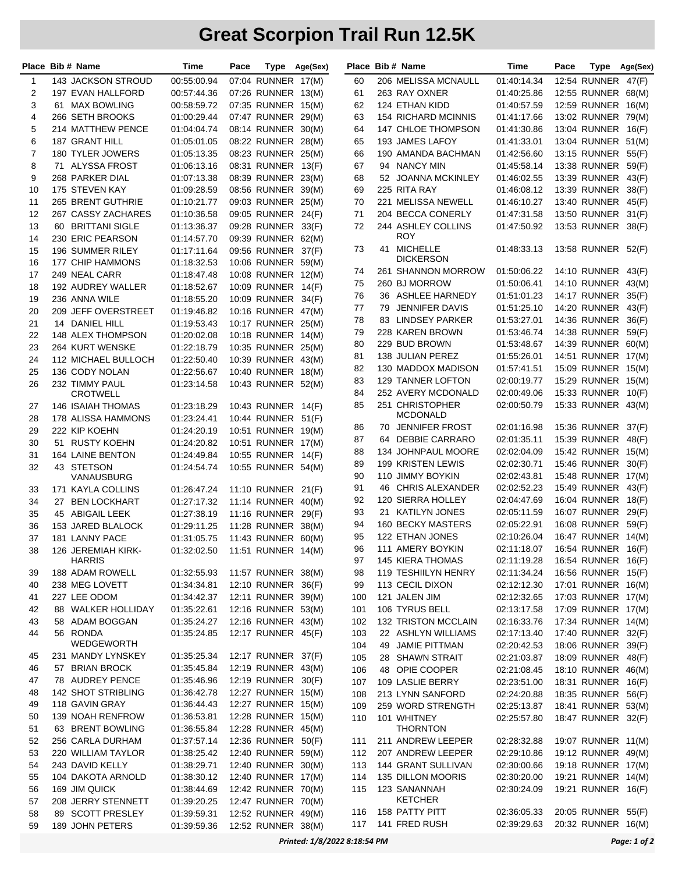|                | Place Bib # Name                | Time                              | Pace |                                          | Type Age(Sex) |            | Place Bib # Name                       | Time                              | Pace |                    | Type Age(Sex) |
|----------------|---------------------------------|-----------------------------------|------|------------------------------------------|---------------|------------|----------------------------------------|-----------------------------------|------|--------------------|---------------|
| 1              | 143 JACKSON STROUD              | 00:55:00.94                       |      | 07:04 RUNNER 17(M)                       |               | 60         | 206 MELISSA MCNAULL                    | 01:40:14.34                       |      | 12:54 RUNNER 47(F) |               |
| 2              | 197 EVAN HALLFORD               | 00:57:44.36                       |      | 07:26 RUNNER 13(M)                       |               | 61         | 263 RAY OXNER                          | 01:40:25.86                       |      | 12:55 RUNNER 68(M) |               |
| 3              | 61 MAX BOWLING                  | 00:58:59.72                       |      | 07:35 RUNNER 15(M)                       |               | 62         | 124 ETHAN KIDD                         | 01:40:57.59                       |      | 12:59 RUNNER 16(M) |               |
| 4              | 266 SETH BROOKS                 | 01:00:29.44                       |      | 07:47 RUNNER 29(M)                       |               | 63         | 154 RICHARD MCINNIS                    | 01:41:17.66                       |      | 13:02 RUNNER 79(M) |               |
| 5              | 214 MATTHEW PENCE               | 01:04:04.74                       |      | 08:14 RUNNER 30(M)                       |               | 64         | <b>147 CHLOE THOMPSON</b>              | 01:41:30.86                       |      | 13:04 RUNNER 16(F) |               |
| 6              | 187 GRANT HILL                  | 01:05:01.05                       |      | 08:22 RUNNER 28(M)                       |               | 65         | 193 JAMES LAFOY                        | 01:41:33.01                       |      | 13:04 RUNNER 51(M) |               |
| $\overline{7}$ | 180 TYLER JOWERS                | 01:05:13.35                       |      | 08:23 RUNNER 25(M)                       |               | 66         | 190 AMANDA BACHMAN                     | 01:42:56.60                       |      | 13:15 RUNNER 55(F) |               |
| 8              | 71 ALYSSA FROST                 | 01:06:13.16                       |      | 08:31 RUNNER 13(F)                       |               | 67         | 94 NANCY MIN                           | 01:45:58.14                       |      | 13:38 RUNNER 59(F) |               |
| 9              | 268 PARKER DIAL                 | 01:07:13.38                       |      | 08:39 RUNNER 23(M)                       |               | 68         | 52 JOANNA MCKINLEY                     | 01:46:02.55                       |      | 13:39 RUNNER 43(F) |               |
| 10             | 175 STEVEN KAY                  | 01:09:28.59                       |      | 08:56 RUNNER 39(M)                       |               | 69         | 225 RITA RAY                           | 01:46:08.12                       |      | 13:39 RUNNER 38(F) |               |
| 11             | 265 BRENT GUTHRIE               | 01:10:21.77                       |      | 09:03 RUNNER 25(M)                       |               | 70         | 221 MELISSA NEWELL                     | 01:46:10.27                       |      | 13:40 RUNNER 45(F) |               |
| 12             | 267 CASSY ZACHARES              | 01:10:36.58                       |      | 09:05 RUNNER                             | 24(F)         | 71         | 204 BECCA CONERLY                      | 01:47:31.58                       |      | 13:50 RUNNER 31(F) |               |
| 13             | 60 BRITTANI SIGLE               | 01:13:36.37                       |      | 09:28 RUNNER 33(F)                       |               | 72         | 244 ASHLEY COLLINS                     | 01:47:50.92                       |      | 13:53 RUNNER 38(F) |               |
| 14             | 230 ERIC PEARSON                | 01:14:57.70                       |      | 09:39 RUNNER 62(M)                       |               |            | <b>ROY</b>                             |                                   |      |                    |               |
| 15             | 196 SUMMER RILEY                | 01:17:11.64                       |      | 09:56 RUNNER                             | 37(F)         | 73         | 41 MICHELLE                            | 01:48:33.13                       |      | 13:58 RUNNER 52(F) |               |
| 16             | 177 CHIP HAMMONS                | 01:18:32.53                       |      | 10:06 RUNNER 59(M)                       |               |            | DICKERSON                              |                                   |      |                    |               |
| 17             | 249 NEAL CARR                   | 01:18:47.48                       |      | 10:08 RUNNER 12(M)                       |               | 74         | 261 SHANNON MORROW                     | 01:50:06.22                       |      | 14:10 RUNNER 43(F) |               |
| 18             | 192 AUDREY WALLER               | 01:18:52.67                       |      | 10:09 RUNNER 14(F)                       |               | 75         | 260 BJ MORROW                          | 01:50:06.41                       |      | 14:10 RUNNER 43(M) |               |
| 19             | 236 ANNA WILE                   | 01:18:55.20                       |      | 10:09 RUNNER 34(F)                       |               | 76         | 36 ASHLEE HARNEDY                      | 01:51:01.23                       |      | 14:17 RUNNER 35(F) |               |
| 20             | 209 JEFF OVERSTREET             | 01:19:46.82                       |      | 10:16 RUNNER 47(M)                       |               | 77         | 79 JENNIFER DAVIS                      | 01:51:25.10                       |      | 14:20 RUNNER 43(F) |               |
| 21             | 14 DANIEL HILL                  | 01:19:53.43                       |      | 10:17 RUNNER 25(M)                       |               | 78         | 83 LINDSEY PARKER                      | 01:53:27.01                       |      | 14:36 RUNNER 36(F) |               |
| 22             | 148 ALEX THOMPSON               | 01:20:02.08                       |      | 10:18 RUNNER 14(M)                       |               | 79         | 228 KAREN BROWN                        | 01:53:46.74                       |      | 14:38 RUNNER 59(F) |               |
| 23             | 264 KURT WENSKE                 | 01:22:18.79                       |      | 10:35 RUNNER 25(M)                       |               | 80         | 229 BUD BROWN                          | 01:53:48.67                       |      | 14:39 RUNNER 60(M) |               |
| 24             | 112 MICHAEL BULLOCH             | 01:22:50.40                       |      | 10:39 RUNNER 43(M)                       |               | 81         | 138 JULIAN PEREZ                       | 01:55:26.01                       |      | 14:51 RUNNER 17(M) |               |
| 25             | 136 CODY NOLAN                  | 01:22:56.67                       |      | 10:40 RUNNER 18(M)                       |               | 82         | 130 MADDOX MADISON                     | 01:57:41.51                       |      | 15:09 RUNNER 15(M) |               |
| 26             | 232 TIMMY PAUL                  | 01:23:14.58                       |      | 10:43 RUNNER 52(M)                       |               | 83         | 129 TANNER LOFTON                      | 02:00:19.77                       |      | 15:29 RUNNER 15(M) |               |
|                | <b>CROTWELL</b>                 |                                   |      |                                          |               | 84         | 252 AVERY MCDONALD                     | 02:00:49.06                       |      | 15:33 RUNNER 10(F) |               |
| 27             | 146 ISAIAH THOMAS               | 01:23:18.29                       |      | 10:43 RUNNER 14(F)                       |               | 85         | 251 CHRISTOPHER                        | 02:00:50.79                       |      | 15:33 RUNNER 43(M) |               |
| 28             | 178 ALISSA HAMMONS              | 01:23:24.41                       |      | 10:44 RUNNER 51(F)                       |               |            | <b>MCDONALD</b>                        |                                   |      |                    |               |
| 29             | 222 KIP KOEHN                   | 01:24:20.19                       |      | 10:51 RUNNER 19(M)                       |               | 86         | 70 JENNIFER FROST                      | 02:01:16.98                       |      | 15:36 RUNNER 37(F) |               |
| 30             | 51 RUSTY KOEHN                  | 01:24:20.82                       |      | 10:51 RUNNER 17(M)                       |               | 87         | 64 DEBBIE CARRARO                      | 02:01:35.11                       |      | 15:39 RUNNER 48(F) |               |
| 31             | 164 LAINE BENTON                | 01:24:49.84                       |      | 10:55 RUNNER 14(F)                       |               | 88         | 134 JOHNPAUL MOORE                     | 02:02:04.09                       |      | 15:42 RUNNER 15(M) |               |
| 32             | 43 STETSON                      | 01:24:54.74                       |      | 10:55 RUNNER 54(M)                       |               | 89         | 199 KRISTEN LEWIS                      | 02:02:30.71                       |      | 15:46 RUNNER 30(F) |               |
|                | VANAUSBURG                      |                                   |      |                                          |               | 90         | 110 JIMMY BOYKIN                       | 02:02:43.81                       |      | 15:48 RUNNER 17(M) |               |
| 33             | 171 KAYLA COLLINS               | 01:26:47.24                       |      | 11:10 RUNNER 21(F)                       |               | 91         | 46 CHRIS ALEXANDER                     | 02:02:52.23                       |      | 15:49 RUNNER 43(F) |               |
| 34             | 27 BEN LOCKHART                 | 01:27:17.32                       |      | 11:14 RUNNER 40(M)                       |               | 92         | <b>120 SIERRA HOLLEY</b>               | 02:04:47.69                       |      | 16:04 RUNNER 18(F) |               |
| 35             | 45 ABIGAIL LEEK                 | 01:27:38.19                       |      | 11:16 RUNNER 29(F)                       |               | 93         | 21 KATILYN JONES                       | 02:05:11.59                       |      | 16:07 RUNNER 29(F) |               |
| 36             | 153 JARED BLALOCK               | 01:29:11.25                       |      | 11:28 RUNNER 38(M)                       |               | 94         | <b>160 BECKY MASTERS</b>               | 02:05:22.91                       |      | 16:08 RUNNER       | 59(F)         |
| 37             | 181 LANNY PACE                  | 01:31:05.75                       |      | 11:43 RUNNER 60(M)                       |               | 95         | 122 ETHAN JONES                        | 02:10:26.04                       |      | 16:47 RUNNER 14(M) |               |
| 38             | 126 JEREMIAH KIRK-              | 01:32:02.50  11:51  RUNNER  14(M) |      |                                          |               | 96         | 111 AMERY BOYKIN                       | 02:11:18.07  16:54  RUNNER  16(F) |      |                    |               |
|                | <b>HARRIS</b>                   |                                   |      |                                          |               | 97         | <b>145 KIERA THOMAS</b>                | 02:11:19.28                       |      | 16:54 RUNNER 16(F) |               |
| 39             | 188 ADAM ROWELL                 | 01:32:55.93                       |      | 11:57 RUNNER 38(M)                       |               | 98         | 119 TESHIILYN HENRY                    | 02:11:34.24                       |      | 16:56 RUNNER 15(F) |               |
| 40             | 238 MEG LOVETT                  | 01:34:34.81                       |      | 12:10 RUNNER 36(F)                       |               | 99         | 113 CECIL DIXON                        | 02:12:12.30                       |      | 17:01 RUNNER 16(M) |               |
| 41             | 227 LEE ODOM                    | 01:34:42.37                       |      | 12:11 RUNNER 39(M)                       |               | 100        | 121 JALEN JIM                          | 02:12:32.65                       |      | 17:03 RUNNER 17(M) |               |
| 42             | 88 WALKER HOLLIDAY              | 01:35:22.61                       |      | 12:16 RUNNER 53(M)                       |               | 101        | 106 TYRUS BELL                         | 02:13:17.58                       |      | 17:09 RUNNER 17(M) |               |
| 43             | 58 ADAM BOGGAN                  | 01:35:24.27                       |      | 12:16 RUNNER 43(M)                       |               | 102        | 132 TRISTON MCCLAIN                    | 02:16:33.76                       |      | 17:34 RUNNER 14(M) |               |
| 44             | 56 RONDA                        | 01:35:24.85                       |      | 12:17 RUNNER 45(F)                       |               | 103        | 22 ASHLYN WILLIAMS                     | 02:17:13.40                       |      | 17:40 RUNNER 32(F) |               |
|                | WEDGEWORTH<br>231 MANDY LYNSKEY |                                   |      | 12:17 RUNNER 37(F)                       |               | 104        | 49 JAMIE PITTMAN                       | 02:20:42.53                       |      | 18:06 RUNNER 39(F) |               |
| 45             | 57 BRIAN BROCK                  | 01:35:25.34<br>01:35:45.84        |      | 12:19 RUNNER 43(M)                       |               | 105        | 28 SHAWN STRAIT                        | 02:21:03.87                       |      | 18:09 RUNNER 48(F) |               |
| 46<br>47       | 78 AUDREY PENCE                 |                                   |      | 12:19 RUNNER 30(F)                       |               | 106        | 48 OPIE COOPER                         | 02:21:08.45                       |      | 18:10 RUNNER 46(M) |               |
|                | 142 SHOT STRIBLING              | 01:35:46.96                       |      |                                          |               | 107        | 109 LASLIE BERRY                       | 02:23:51.00                       |      | 18:31 RUNNER 16(F) |               |
| 48<br>49       | 118 GAVIN GRAY                  | 01:36:42.78<br>01:36:44.43        |      | 12:27 RUNNER 15(M)<br>12:27 RUNNER 15(M) |               | 108        | 213 LYNN SANFORD                       | 02:24:20.88                       |      | 18:35 RUNNER 56(F) |               |
| 50             | 139 NOAH RENFROW                | 01:36:53.81                       |      | 12:28 RUNNER 15(M)                       |               | 109        | 259 WORD STRENGTH                      | 02:25:13.87                       |      | 18:41 RUNNER 53(M) |               |
| 51             | 63 BRENT BOWLING                | 01:36:55.84                       |      | 12:28 RUNNER 45(M)                       |               | 110        | 101 WHITNEY<br>THORNTON                | 02:25:57.80                       |      | 18:47 RUNNER 32(F) |               |
|                | 256 CARLA DURHAM                |                                   |      | 12:36 RUNNER 50(F)                       |               |            |                                        |                                   |      | 19:07 RUNNER 11(M) |               |
| 52<br>53       | 220 WILLIAM TAYLOR              | 01:37:57.14<br>01:38:25.42        |      | 12:40 RUNNER 59(M)                       |               | 111<br>112 | 211 ANDREW LEEPER<br>207 ANDREW LEEPER | 02:28:32.88<br>02:29:10.86        |      | 19:12 RUNNER 49(M) |               |
| 54             | 243 DAVID KELLY                 | 01:38:29.71                       |      | 12:40 RUNNER 30(M)                       |               | 113        | 144 GRANT SULLIVAN                     | 02:30:00.66                       |      | 19:18 RUNNER 17(M) |               |
| 55             | 104 DAKOTA ARNOLD               | 01:38:30.12                       |      | 12:40 RUNNER 17(M)                       |               | 114        | 135 DILLON MOORIS                      | 02:30:20.00                       |      | 19:21 RUNNER 14(M) |               |
| 56             | 169 JIM QUICK                   |                                   |      | 12:42 RUNNER 70(M)                       |               | 115        | 123 SANANNAH                           | 02:30:24.09                       |      | 19:21 RUNNER 16(F) |               |
| 57             | 208 JERRY STENNETT              | 01:38:44.69<br>01:39:20.25        |      | 12:47 RUNNER 70(M)                       |               |            | <b>KETCHER</b>                         |                                   |      |                    |               |
| 58             | 89 SCOTT PRESLEY                | 01:39:59.31                       |      | 12:52 RUNNER 49(M)                       |               | 116        | 158 PATTY PITT                         | 02:36:05.33                       |      | 20:05 RUNNER 55(F) |               |
| 59             | 189 JOHN PETERS                 | 01:39:59.36                       |      | 12:52 RUNNER 38(M)                       |               | 117        | 141 FRED RUSH                          | 02:39:29.63                       |      | 20:32 RUNNER 16(M) |               |
|                |                                 |                                   |      |                                          |               |            |                                        |                                   |      |                    |               |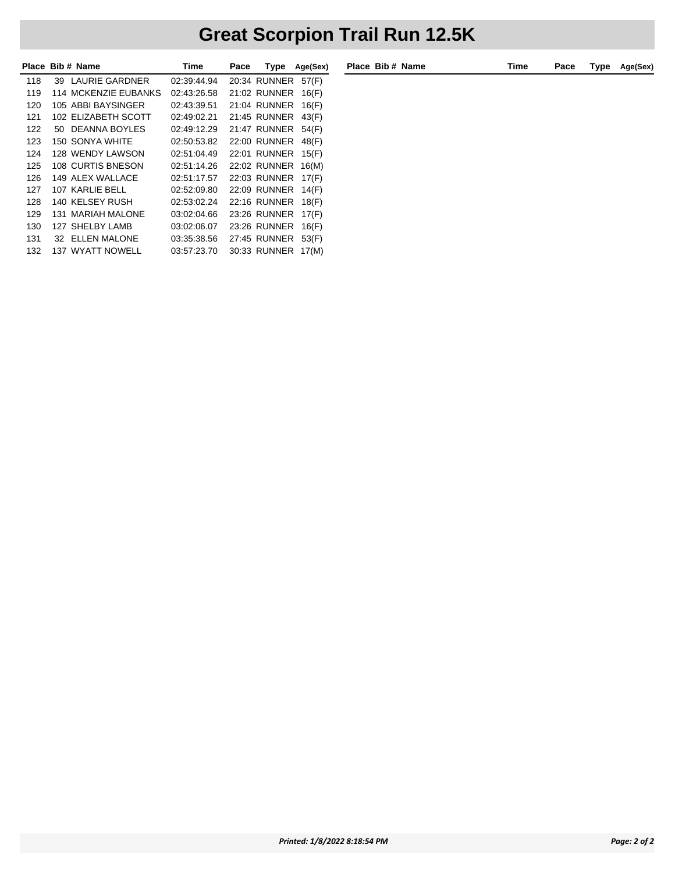| <b>Place</b> |     | Bib # Name                  | Time        | Pace | Type         | Age(Sex) |
|--------------|-----|-----------------------------|-------------|------|--------------|----------|
| 118          | 39. | LAURIE GARDNER              | 02:39:44.94 |      | 20:34 RUNNER | 57(F)    |
| 119          |     | <b>114 MCKENZIE EUBANKS</b> | 02:43:26.58 |      | 21:02 RUNNER | 16(F)    |
| 120          |     | 105 ABBI BAYSINGER          | 02:43:39.51 |      | 21:04 RUNNER | 16(F)    |
| 121          |     | 102 ELIZABETH SCOTT         | 02:49:02.21 |      | 21:45 RUNNER | 43(F)    |
| 122          | 50. | DEANNA BOYLES               | 02:49:12.29 |      | 21:47 RUNNER | 54(F)    |
| 123          |     | 150 SONYA WHITE             | 02:50:53.82 |      | 22:00 RUNNER | 48(F)    |
| 124          |     | 128 WENDY LAWSON            | 02:51:04.49 |      | 22:01 RUNNER | 15(F)    |
| 125          |     | 108 CURTIS BNESON           | 02:51:14.26 |      | 22:02 RUNNER | 16(M)    |
| 126          |     | 149 ALEX WALLACE            | 02:51:17.57 |      | 22:03 RUNNER | 17(F)    |
| 127          |     | 107 KARLIE BELL             | 02:52:09.80 |      | 22:09 RUNNER | 14(F)    |
| 128          |     | 140 KELSEY RUSH             | 02:53:02.24 |      | 22:16 RUNNER | 18(F)    |
| 129          |     | <b>131 MARIAH MALONE</b>    | 03:02:04.66 |      | 23:26 RUNNER | 17(F)    |
| 130          |     | 127 SHELBY LAMB             | 03:02:06.07 |      | 23:26 RUNNER | 16(F)    |
| 131          |     | 32 ELLEN MALONE             | 03:35:38.56 |      | 27:45 RUNNER | 53(F)    |
| 132          |     | <b>137 WYATT NOWELL</b>     | 03:57:23.70 |      | 30:33 RUNNER | 17(M)    |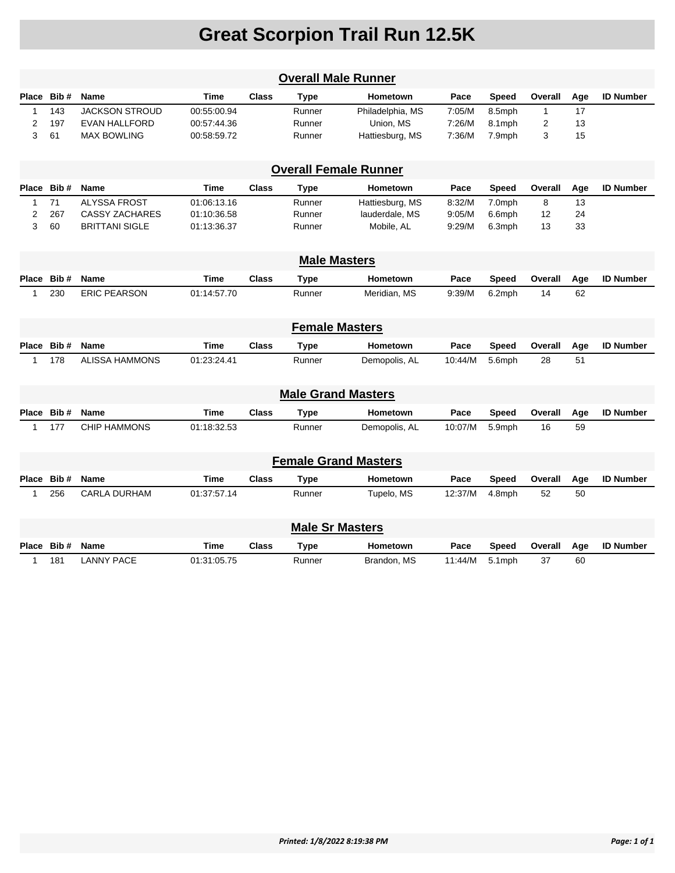| <b>Overall Male Runner</b>  |                              |                       |             |              |                           |                  |         |              |                |     |                  |
|-----------------------------|------------------------------|-----------------------|-------------|--------------|---------------------------|------------------|---------|--------------|----------------|-----|------------------|
| Place                       | Bib#                         | Name                  | Time        | <b>Class</b> | <b>Type</b>               | Hometown         | Pace    | <b>Speed</b> | Overall        | Age | <b>ID Number</b> |
| 1                           | 143                          | <b>JACKSON STROUD</b> | 00:55:00.94 |              | Runner                    | Philadelphia, MS | 7:05/M  | 8.5mph       | $\mathbf{1}$   | 17  |                  |
| $\overline{2}$              | 197                          | <b>EVAN HALLFORD</b>  | 00:57:44.36 |              | Runner                    | Union, MS        | 7:26/M  | 8.1mph       | $\overline{2}$ | 13  |                  |
| 3                           | 61                           | <b>MAX BOWLING</b>    | 00:58:59.72 |              | Runner                    | Hattiesburg, MS  | 7:36/M  | 7.9mph       | 3              | 15  |                  |
|                             | <b>Overall Female Runner</b> |                       |             |              |                           |                  |         |              |                |     |                  |
|                             | Place Bib #                  | Name                  | Time        | <b>Class</b> | <b>Type</b>               | Hometown         | Pace    | <b>Speed</b> | Overall        | Age | <b>ID Number</b> |
| 1                           | 71                           | <b>ALYSSA FROST</b>   | 01:06:13.16 |              | Runner                    | Hattiesburg, MS  | 8:32/M  | 7.0mph       | 8              | 13  |                  |
| 2                           | 267                          | <b>CASSY ZACHARES</b> | 01:10:36.58 |              | Runner                    | lauderdale, MS   | 9:05/M  | 6.6mph       | 12             | 24  |                  |
| 3                           | 60                           | <b>BRITTANI SIGLE</b> | 01:13:36.37 |              | Runner                    | Mobile, AL       | 9:29/M  | 6.3mph       | 13             | 33  |                  |
|                             | <b>Male Masters</b>          |                       |             |              |                           |                  |         |              |                |     |                  |
| Place                       | Bib#                         | Name                  | <b>Time</b> | <b>Class</b> | <b>Type</b>               | Hometown         | Pace    | <b>Speed</b> | Overall        | Age | <b>ID Number</b> |
| $\mathbf 1$                 | 230                          | <b>ERIC PEARSON</b>   | 01:14:57.70 |              | Runner                    | Meridian, MS     | 9:39/M  | 6.2mph       | 14             | 62  |                  |
|                             |                              |                       |             |              | <b>Female Masters</b>     |                  |         |              |                |     |                  |
| Place                       | Bib#                         | Name                  | <b>Time</b> | <b>Class</b> | <b>Type</b>               | Hometown         | Pace    | <b>Speed</b> | Overall        | Age | <b>ID Number</b> |
| 1                           | 178                          | <b>ALISSA HAMMONS</b> | 01:23:24.41 |              | Runner                    | Demopolis, AL    | 10:44/M | 5.6mph       | 28             | 51  |                  |
|                             |                              |                       |             |              | <b>Male Grand Masters</b> |                  |         |              |                |     |                  |
| Place                       | Bib#                         | <b>Name</b>           | <b>Time</b> | <b>Class</b> | <b>Type</b>               | <b>Hometown</b>  | Pace    | <b>Speed</b> | Overall        | Age | <b>ID Number</b> |
| 1                           | 177                          | <b>CHIP HAMMONS</b>   | 01:18:32.53 |              | Runner                    | Demopolis, AL    | 10:07/M | 5.9mph       | 16             | 59  |                  |
|                             |                              |                       |             |              |                           |                  |         |              |                |     |                  |
| <b>Female Grand Masters</b> |                              |                       |             |              |                           |                  |         |              |                |     |                  |
| Place                       | Bib#                         | Name                  | <b>Time</b> | <b>Class</b> | <b>Type</b>               | Hometown         | Pace    | <b>Speed</b> | Overall        | Age | <b>ID Number</b> |
| $\mathbf 1$                 | 256                          | <b>CARLA DURHAM</b>   | 01:37:57.14 |              | Runner                    | Tupelo, MS       | 12:37/M | 4.8mph       | 52             | 50  |                  |
| <b>Male Sr Masters</b>      |                              |                       |             |              |                           |                  |         |              |                |     |                  |
| Place                       | Bib#                         | <b>Name</b>           | <b>Time</b> | <b>Class</b> | <b>Type</b>               | <b>Hometown</b>  | Pace    | <b>Speed</b> | Overall        | Age | <b>ID Number</b> |
| 1                           | 181                          | <b>LANNY PACE</b>     | 01:31:05.75 |              | Runner                    | Brandon, MS      | 11:44/M | 5.1mph       | 37             | 60  |                  |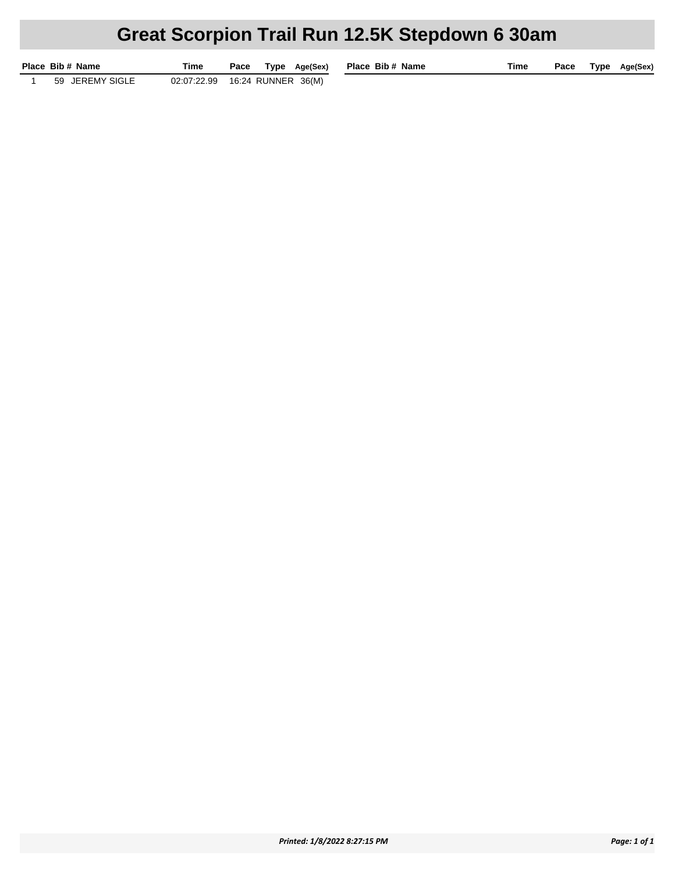## **Great Scorpion Trail Run 12.5K Stepdown 6 30am**

|  | Place Bib # Name | Time                              |  | Pace Type Age(Sex) | Place Bib# |  |
|--|------------------|-----------------------------------|--|--------------------|------------|--|
|  | 59 JEREMY SIGLE  | 02:07:22.99  16:24  RUNNER  36(M) |  |                    |            |  |

**Pace Pace Pace Pace Age(Sex)**